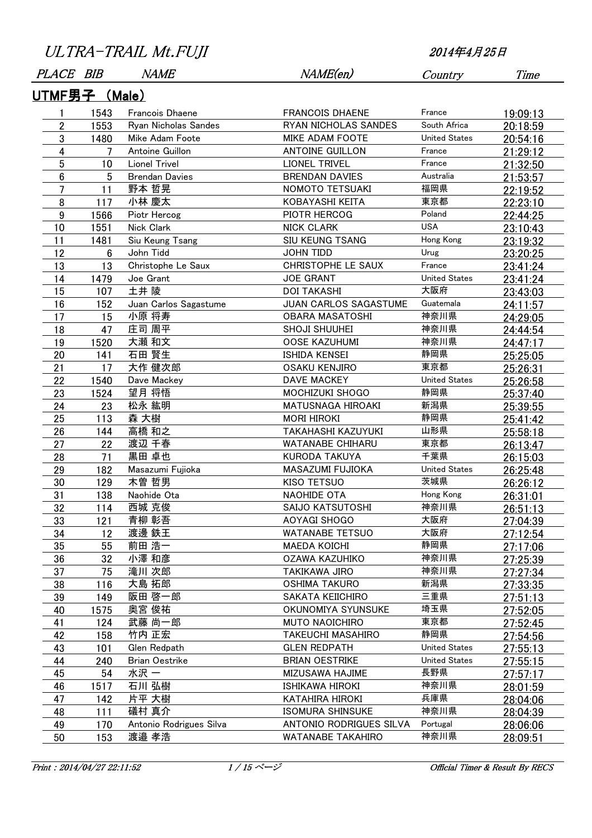| ULTRA-TRAIL Mt.FUJI<br>2014年4月25日 |                |                       |                        |                          |                      |                 |
|-----------------------------------|----------------|-----------------------|------------------------|--------------------------|----------------------|-----------------|
|                                   | <b>PLACE</b>   | BIB                   | <i>NAME</i>            | NAME(en)                 | Country              | Time            |
|                                   |                | <u> UTMF男子 (Male)</u> |                        |                          |                      |                 |
|                                   | 1              | 1543                  | <b>Francois Dhaene</b> | <b>FRANCOIS DHAENE</b>   | France               | 19:09:13        |
|                                   | 2              | 1553                  | Ryan Nicholas Sandes   | RYAN NICHOLAS SANDES     | South Africa         | 20:18:59        |
|                                   | 3              | 1480                  | Mike Adam Foote        | MIKE ADAM FOOTE          | <b>United States</b> | 20:54:16        |
|                                   | 4              | 7                     | Antoine Guillon        | <b>ANTOINE GUILLON</b>   | France               | 21:29:12        |
|                                   | $\overline{5}$ | 10                    | <b>Lionel Trivel</b>   | <b>LIONEL TRIVEL</b>     | France               | 21:32:50        |
|                                   | 6              | 5                     | <b>Brendan Davies</b>  | <b>BRENDAN DAVIES</b>    | Australia            | 21:53:57        |
|                                   | 7              | 11                    | 野本 哲晃                  | NOMOTO TETSUAKI          | 福岡県                  | 22:19:52        |
|                                   | 8              | 117                   | 小林 慶太                  | KOBAYASHI KEITA          | 東京都                  | 22:23:10        |
|                                   | 9              | 1566                  | Piotr Hercog           | PIOTR HERCOG             | Poland               | 22:44:25        |
|                                   | 10             | 1551                  | Nick Clark             | <b>NICK CLARK</b>        | <b>USA</b>           | 23:10:43        |
|                                   | 11             | 1481                  | Siu Keung Tsang        | SIU KEUNG TSANG          | Hong Kong            | 23:19:32        |
|                                   | 12             | 6                     | John Tidd              | <b>JOHN TIDD</b>         | Urug                 | 23:20:25        |
|                                   | 13             | 13                    | Christophe Le Saux     | CHRISTOPHE LE SAUX       | France               | 23:41:24        |
|                                   | 14             | 1479                  | Joe Grant              | <b>JOE GRANT</b>         | <b>United States</b> | 23:41:24        |
|                                   | 15             | 107                   | 土井 陵                   | <b>DOI TAKASHI</b>       | 大阪府                  | 23:43:03        |
|                                   | 16             | 152                   | Juan Carlos Sagastume  | JUAN CARLOS SAGASTUME    | Guatemala            | 24:11:57        |
|                                   | 17             | 15                    | 小原 将寿                  | <b>OBARA MASATOSHI</b>   | 神奈川県                 | 24:29:05        |
|                                   | 18             | 47                    | 庄司 周平                  | SHOJI SHUUHEI            | 神奈川県                 | 24:44:54        |
|                                   | 19             | 1520                  | 大瀬 和文                  | <b>OOSE KAZUHUMI</b>     | 神奈川県                 | 24:47:17        |
|                                   | 20             | 141                   | 石田 賢生                  | <b>ISHIDA KENSEI</b>     | 静岡県                  | 25:25:05        |
|                                   | 21             | 17                    | 大作 健次郎                 | <b>OSAKU KENJIRO</b>     | 東京都                  | 25:26:31        |
|                                   | 22             | 1540                  | Dave Mackey            | <b>DAVE MACKEY</b>       | <b>United States</b> | <u>25:26:58</u> |
|                                   | 23             | 1524                  | 望月 将悟                  | MOCHIZUKI SHOGO          | 静岡県                  | 25:37:40        |
|                                   | 24             | 23                    | 松永 紘明                  | MATUSNAGA HIROAKI        | 新潟県                  | 25:39:55        |
|                                   | 25             | 113                   | 森 大樹                   | <b>MORI HIROKI</b>       | 静岡県                  | 25:41:42        |
|                                   | 26             | 144                   | 高橋 和之                  | TAKAHASHI KAZUYUKI       | 山形県                  | 25:58:18        |
|                                   | 27             | 22                    | 渡辺 千春                  | WATANABE CHIHARU         | 東京都                  | 26:13:47        |
|                                   | 28             | 71                    | 黒田 卓也                  | <b>KURODA TAKUYA</b>     | 千葉県                  | 26:15:03        |
|                                   | 29             | 182                   | Masazumi Fujioka       | MASAZUMI FUJIOKA         | <b>United States</b> | 26:25:48        |
|                                   | 30             | 129                   | 木曽 哲男                  | <b>KISO TETSUO</b>       | 茨城県                  | 26:26:12        |
|                                   | 31             | 138                   | Naohide Ota            | NAOHIDE OTA              | Hong Kong            | 26:31:01        |
|                                   | 32             | 114                   | 西城 克俊                  | SAIJO KATSUTOSHI         | 神奈川県                 | 26:51:13        |
|                                   | 33             | 121                   | 青柳 彰吾                  | AOYAGI SHOGO             | 大阪府                  | 27:04:39        |
|                                   | 34             | 12                    | 渡邊 鉄王                  | <b>WATANABE TETSUO</b>   | 大阪府                  | 27:12:54        |
|                                   | 35             | 55                    | 前田 浩一                  | <b>MAEDA KOICHI</b>      | 静岡県                  | 27:17:06        |
|                                   | 36             | 32                    | 小澤 和彦                  | <b>OZAWA KAZUHIKO</b>    | 神奈川県                 | 27:25:39        |
|                                   | 37             | 75                    | 滝川 次郎                  | TAKIKAWA JIRO            | 神奈川県                 | 27:27:34        |
|                                   | 38             | 116                   | 大島 拓郎                  | <b>OSHIMA TAKURO</b>     | 新潟県                  | <u>27:33:35</u> |
|                                   | 39             | 149                   | 阪田 啓一郎                 | SAKATA KEIICHIRO         | 三重県                  | <u>27:51:13</u> |
|                                   | 40             | 1575                  | 奥宮 俊祐                  | OKUNOMIYA SYUNSUKE       | 埼玉県                  | 27:52:05        |
|                                   | 41             | 124                   | 武藤 尚一郎                 | <b>MUTO NAOICHIRO</b>    | 東京都                  | 27:52:45        |
|                                   | 42             | 158                   | 竹内 正宏                  | <b>TAKEUCHI MASAHIRO</b> | 静岡県                  | 27:54:56        |
|                                   | 43             | 101                   | Glen Redpath           | <b>GLEN REDPATH</b>      | <b>United States</b> | 27:55:13        |
|                                   | 44             | 240                   | Brian Oestrike         | <b>BRIAN OESTRIKE</b>    | <b>United States</b> | 27:55:15        |
|                                   | 45             | 54                    | 水沢 一                   | <b>MIZUSAWA HAJIME</b>   | 長野県                  | 27:57:17        |
|                                   |                |                       | $-10.7141$             |                          | $+ + +$              |                 |

 54 水沢 一 MIZUSAWA HAJIME 長野県 27:57:17 46 1517 石川 弘樹 ISHIKAWA HIROKI 神奈川県 28:01:59 142 片平 大樹 KATAHIRA HIROKI 兵庫県 28:04:06 18 111 礒村 真介 - ISOMURA SHINSUKE - 神奈川県 - 28:04:39<br>170 Antonio Rodrigues Silva - ANTONIO RODRIGUES SILVA Portugal - 28:06:06 130 170 Antonio Rodrigues Silva ANTONIO RODRIGUES SILVA Portugal 28:06:06<br>153 渡邉 孝浩 MATANABE TAKAHIRO 神奈川県 28:09:51 153 渡邉 孝浩 WATANABE TAKAHIRO 神奈川県 28:09:51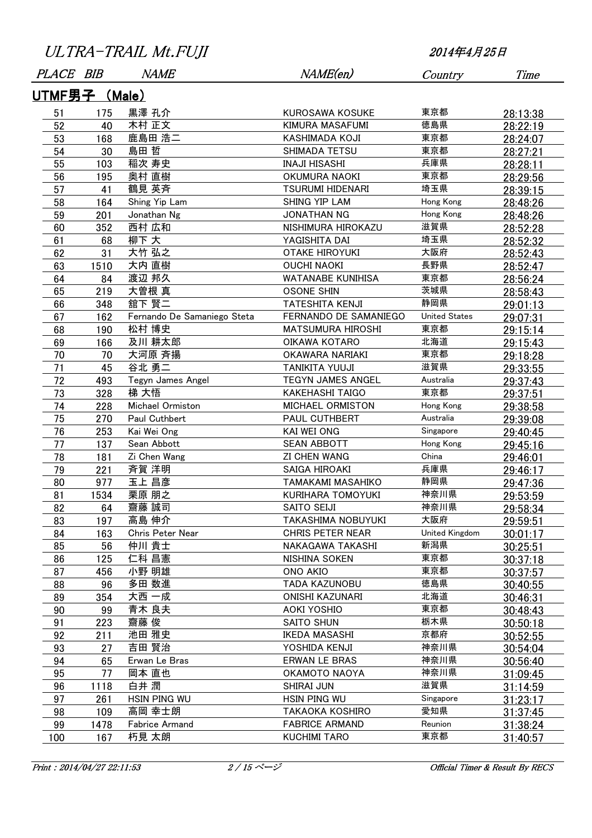| ULTRA-TRAIL Mt.FUJI |  |
|---------------------|--|
|---------------------|--|

| PLACE BIB     |      | <i>NAME</i>                 | NAME(en)                 | Country              | Time     |
|---------------|------|-----------------------------|--------------------------|----------------------|----------|
| UTMF男子 (Male) |      |                             |                          |                      |          |
| 51            | 175  | 黒澤 孔介                       | <b>KUROSAWA KOSUKE</b>   | 東京都                  | 28:13:38 |
| 52            | 40   | 木村 正文                       | KIMURA MASAFUMI          | 徳島県                  | 28:22:19 |
| 53            | 168  | 鹿島田 浩二                      | KASHIMADA KOJI           | 東京都                  | 28:24:07 |
| 54            | 30   | 島田 哲                        | SHIMADA TETSU            | 東京都                  | 28:27:21 |
| 55            | 103  | 稲次 寿史                       | <b>INAJI HISASHI</b>     | 兵庫県                  | 28:28:11 |
| 56            | 195  | 奥村 直樹                       | <b>OKUMURA NAOKI</b>     | 東京都                  | 28:29:56 |
| 57            | 41   | 鶴見 英斉                       | <b>TSURUMI HIDENARI</b>  | 埼玉県                  | 28:39:15 |
| 58            | 164  | Shing Yip Lam               | SHING YIP LAM            | Hong Kong            | 28:48:26 |
| 59            | 201  | Jonathan Ng                 | <b>JONATHAN NG</b>       | Hong Kong            | 28:48:26 |
| 60            | 352  | 西村 広和                       | NISHIMURA HIROKAZU       | 滋賀県                  | 28:52:28 |
| 61            | 68   | 柳下 大                        | YAGISHITA DAI            | 埼玉県                  | 28:52:32 |
| 62            | 31   | 大竹 弘之                       | <b>OTAKE HIROYUKI</b>    | 大阪府                  | 28:52:43 |
| 63            | 1510 | 大内 直樹                       | <b>OUCHI NAOKI</b>       | 長野県                  | 28:52:47 |
| 64            | 84   | 渡辺 邦久                       | <b>WATANABE KUNIHISA</b> | 東京都                  | 28:56:24 |
| 65            | 219  | 大曽根 真                       | <b>OSONE SHIN</b>        | 茨城県                  | 28:58:43 |
| 66            | 348  | 舘下 賢二                       | <b>TATESHITA KENJI</b>   | 静岡県                  | 29:01:13 |
| 67            | 162  | Fernando De Samaniego Steta | FERNANDO DE SAMANIEGO    | <b>United States</b> | 29:07:31 |
| 68            | 190  | 松村 博史                       | <b>MATSUMURA HIROSHI</b> | 東京都                  | 29:15:14 |
| 69            | 166  | 及川 耕太郎                      | OIKAWA KOTARO            | 北海道                  | 29:15:43 |
| 70            | 70   | 大河原 斉揚                      | OKAWARA NARIAKI          | 東京都                  | 29:18:28 |
| 71            | 45   | 谷北 勇二                       | <b>TANIKITA YUUJI</b>    | 滋賀県                  | 29:33:55 |
| 72            | 493  | Tegyn James Angel           | TEGYN JAMES ANGEL        | Australia            | 29:37:43 |
| 73            | 328  | 梯 大悟                        | <b>KAKEHASHI TAIGO</b>   | 東京都                  | 29:37:51 |
| 74            | 228  | Michael Ormiston            | MICHAEL ORMISTON         | Hong Kong            | 29:38:58 |
| 75            | 270  | Paul Cuthbert               | PAUL CUTHBERT            | Australia            | 29:39:08 |
| 76            | 253  | Kai Wei Ong                 | <b>KAI WEI ONG</b>       | Singapore            | 29:40:45 |
| 77            | 137  | Sean Abbott                 | <b>SEAN ABBOTT</b>       | Hong Kong            | 29:45:16 |
| 78            | 181  | Zi Chen Wang                | <b>ZI CHEN WANG</b>      | China                | 29:46:01 |
| 79            | 221  | 斉賀 洋明                       | SAIGA HIROAKI            | 兵庫県                  | 29:46:17 |
| 80            | 977  | 玉上 昌彦                       | TAMAKAMI MASAHIKO        | 静岡県                  | 29:47:36 |
| 81            | 1534 | 栗原 朋之                       | KURIHARA TOMOYUKI        | 神奈川県                 | 29:53:59 |
| 82            | 64   | 齋藤 誠司                       | SAITO SEIJI              | 神奈川県                 | 29:58:34 |
| 83            | 197  | 高島 伸介                       | TAKASHIMA NOBUYUKI       | 大阪府                  | 29:59:51 |
| 84            | 163  | Chris Peter Near            | <b>CHRIS PETER NEAR</b>  | United Kingdom       | 30:01:17 |
| 85            | 56   | 仲川 貴士                       | NAKAGAWA TAKASHI         | 新潟県                  | 30:25:51 |
| 86            | 125  | 仁科 昌憲                       | NISHINA SOKEN            | 東京都                  | 30:37:18 |
| 87            | 456  | 小野 明雄                       | ONO AKIO                 | 東京都                  | 30:37:57 |
| 88            | 96   | 多田 数進                       | TADA KAZUNOBU            | 徳島県                  | 30:40:55 |
| 89            | 354  | 大西 一成                       | <b>ONISHI KAZUNARI</b>   | 北海道                  | 30:46:31 |
| 90            | 99   | 青木 良夫                       | <b>AOKI YOSHIO</b>       | 東京都                  | 30:48:43 |
| 91            | 223  | 齋藤 俊                        | <b>SAITO SHUN</b>        | 栃木県                  | 30:50:18 |
| 92            | 211  | 池田 雅史                       | <b>IKEDA MASASHI</b>     | 京都府                  | 30:52:55 |
| 93            | 27   | 吉田 賢治                       | YOSHIDA KENJI            | 神奈川県                 | 30:54:04 |
| 94            | 65   | Erwan Le Bras               | <b>ERWAN LE BRAS</b>     | 神奈川県                 | 30:56:40 |
| 95            | 77   | 岡本 直也                       | OKAMOTO NAOYA            | 神奈川県                 | 31:09:45 |
| 96            | 1118 | 白井 潤                        | <b>SHIRAI JUN</b>        | 滋賀県                  | 31:14:59 |
| 97            | 261  | HSIN PING WU                | HSIN PING WU             | Singapore            | 31:23:17 |
| 98            | 109  | 高岡 幸士朗                      | TAKAOKA KOSHIRO          | 愛知県                  | 31:37:45 |
| 99            | 1478 | Fabrice Armand              | <b>FABRICE ARMAND</b>    | Reunion              | 31:38:24 |
| 100           | 167  | 朽見 太朗                       | <b>KUCHIMI TARO</b>      | 東京都                  | 31:40:57 |

Print : 2014/04/27 22:11:53 2/15 ページ · 2016 0fficial Timer & Result By RECS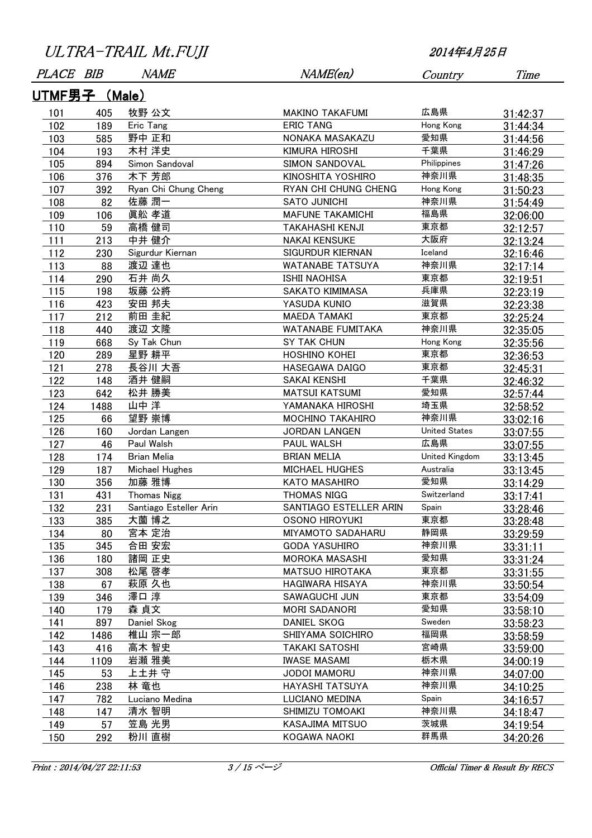| PLACE BIB     |      | <i>NAME</i>            | NAME(en)                 | Country              | Time     |  |  |  |
|---------------|------|------------------------|--------------------------|----------------------|----------|--|--|--|
| UTMF男子 (Male) |      |                        |                          |                      |          |  |  |  |
| 101           | 405  | 牧野 公文                  | <b>MAKINO TAKAFUMI</b>   | 広島県                  | 31:42:37 |  |  |  |
| 102           | 189  | Eric Tang              | <b>ERIC TANG</b>         | Hong Kong            | 31:44:34 |  |  |  |
| 103           | 585  | 野中 正和                  | NONAKA MASAKAZU          | 愛知県                  | 31:44:56 |  |  |  |
| 104           | 193  | 木村 洋史                  | <b>KIMURA HIROSHI</b>    | 千葉県                  | 31:46:29 |  |  |  |
| 105           | 894  | Simon Sandoval         | SIMON SANDOVAL           | Philippines          | 31:47:26 |  |  |  |
| 106           | 376  | 木下 芳郎                  | KINOSHITA YOSHIRO        | 神奈川県                 | 31:48:35 |  |  |  |
| 107           | 392  | Ryan Chi Chung Cheng   | RYAN CHI CHUNG CHENG     | Hong Kong            | 31:50:23 |  |  |  |
| 108           | 82   | 佐藤 潤一                  | <b>SATO JUNICHI</b>      | 神奈川県                 | 31:54:49 |  |  |  |
| 109           | 106  | 眞舩 孝道                  | <b>MAFUNE TAKAMICHI</b>  | 福島県                  | 32:06:00 |  |  |  |
| 110           | 59   | 高橋 健司                  | <b>TAKAHASHI KENJI</b>   | 東京都                  | 32:12:57 |  |  |  |
| 111           | 213  | 中井 健介                  | <b>NAKAI KENSUKE</b>     | 大阪府                  | 32:13:24 |  |  |  |
| 112           | 230  | Sigurdur Kiernan       | <b>SIGURDUR KIERNAN</b>  | Iceland              | 32:16:46 |  |  |  |
| 113           | 88   | 渡辺 達也                  | <b>WATANABE TATSUYA</b>  | 神奈川県                 | 32:17:14 |  |  |  |
| 114           | 290  | 石井 尚久                  | <b>ISHII NAOHISA</b>     | 東京都                  | 32:19:51 |  |  |  |
| 115           | 198  | 坂藤 公將                  | SAKATO KIMIMASA          | 兵庫県                  | 32:23:19 |  |  |  |
| 116           | 423  | 安田 邦夫                  | YASUDA KUNIO             | 滋賀県                  | 32:23:38 |  |  |  |
| 117           | 212  | 前田 圭紀                  | <b>MAEDA TAMAKI</b>      | 東京都                  | 32:25:24 |  |  |  |
| 118           | 440  | 渡辺 文隆                  | <b>WATANABE FUMITAKA</b> | 神奈川県                 | 32:35:05 |  |  |  |
| 119           | 668  | Sy Tak Chun            | SY TAK CHUN              | Hong Kong            | 32:35:56 |  |  |  |
| 120           | 289  | 星野 耕平                  | <b>HOSHINO KOHEI</b>     | 東京都                  | 32:36:53 |  |  |  |
| 121           | 278  | 長谷川 大吾                 | HASEGAWA DAIGO           | 東京都                  | 32:45:31 |  |  |  |
| 122           | 148  | 酒井 健嗣                  | SAKAI KENSHI             | 千葉県                  | 32:46:32 |  |  |  |
| 123           | 642  | 松井 勝美                  | <b>MATSUI KATSUMI</b>    | 愛知県                  | 32:57:44 |  |  |  |
| 124           | 1488 | 山中 洋                   | YAMANAKA HIROSHI         | 埼玉県                  | 32:58:52 |  |  |  |
| 125           | 66   | 望野 崇博                  | <b>MOCHINO TAKAHIRO</b>  | 神奈川県                 | 33:02:16 |  |  |  |
| 126           | 160  | Jordan Langen          | <b>JORDAN LANGEN</b>     | <b>United States</b> | 33:07:55 |  |  |  |
| 127           | 46   | Paul Walsh             | PAUL WALSH               | 広島県                  | 33:07:55 |  |  |  |
| 128           | 174  | Brian Melia            | <b>BRIAN MELIA</b>       | United Kingdom       | 33:13:45 |  |  |  |
| 129           | 187  | Michael Hughes         | <b>MICHAEL HUGHES</b>    | Australia            | 33:13:45 |  |  |  |
| 130           | 356  | 加藤 雅博                  | KATO MASAHIRO            | 愛知県                  | 33:14:29 |  |  |  |
| 131           | 431  | <b>Thomas Nigg</b>     | <b>THOMAS NIGG</b>       | Switzerland          | 33:17:41 |  |  |  |
| 132           | 231  | Santiago Esteller Arin | SANTIAGO ESTELLER ARIN   | Spain                | 33:28:46 |  |  |  |
| 133           | 385  | 大薗 博之                  | OSONO HIROYUKI           | 東京都                  | 33:28:48 |  |  |  |
| 134           | 80   | 宮本 定治                  | <b>MIYAMOTO SADAHARU</b> | 静岡県                  | 33:29:59 |  |  |  |
| 135           | 345  | 合田 安宏                  | <b>GODA YASUHIRO</b>     | 神奈川県                 | 33:31:11 |  |  |  |
| 136           | 180  | 諸岡 正史                  | <b>MOROKA MASASHI</b>    | 愛知県                  | 33:31:24 |  |  |  |
| 137           | 308  | 松尾 啓孝                  | <b>MATSUO HIROTAKA</b>   | 東京都                  | 33:31:55 |  |  |  |
| 138           | 67   | 萩原 久也                  | HAGIWARA HISAYA          | 神奈川県                 | 33:50:54 |  |  |  |
| 139           | 346  | 澤口 淳                   | SAWAGUCHI JUN            | 東京都                  | 33:54:09 |  |  |  |
| 140           | 179  | 森 貞文                   | <b>MORI SADANORI</b>     | 愛知県                  | 33:58:10 |  |  |  |
| 141           | 897  | Daniel Skog            | <b>DANIEL SKOG</b>       | Sweden               | 33:58:23 |  |  |  |
| 142           | 1486 | 椎山 宗一郎                 | SHIIYAMA SOICHIRO        | 福岡県                  | 33:58:59 |  |  |  |
| 143           | 416  | 高木 智史                  | <b>TAKAKI SATOSHI</b>    | 宮崎県                  | 33:59:00 |  |  |  |
| 144           | 1109 | 岩瀬 雅美                  | <b>IWASE MASAMI</b>      | 栃木県                  | 34:00:19 |  |  |  |
| 145           | 53   | 上土井 守                  | JODOI MAMORU             | 神奈川県                 | 34:07:00 |  |  |  |
| 146           | 238  | 林 竜也                   | <b>HAYASHI TATSUYA</b>   | 神奈川県                 | 34:10:25 |  |  |  |
| 147           | 782  | Luciano Medina         | LUCIANO MEDINA           | Spain                | 34:16:57 |  |  |  |
| 148           | 147  | 清水 智明                  | SHIMIZU TOMOAKI          | 神奈川県                 | 34:18:47 |  |  |  |
| 149           | 57   | 笠島 光男                  | KASAJIMA MITSUO          | 茨城県                  | 34:19:54 |  |  |  |
| 150           | 292  | 粉川 直樹                  | KOGAWA NAOKI             | 群馬県                  | 34:20:26 |  |  |  |
|               |      |                        |                          |                      |          |  |  |  |

Print : 2014/04/27 22:11:53 3/15 ページ Official Timer & Result By RECS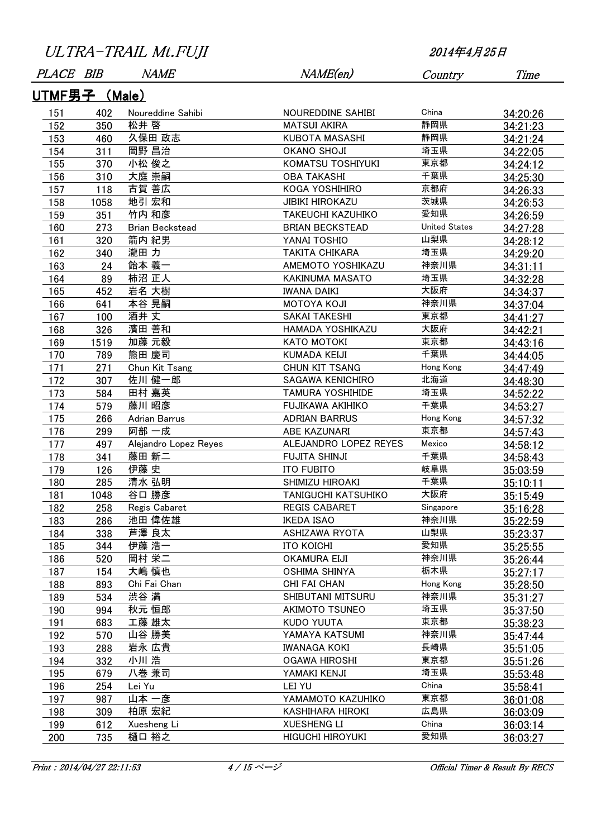| <i>PLACE</i>         | BIB  | <i>NAME</i>            | NAME(en)                 | Country              | Time     |  |  |  |
|----------------------|------|------------------------|--------------------------|----------------------|----------|--|--|--|
| <u>UTMF男子 (Male)</u> |      |                        |                          |                      |          |  |  |  |
| 151                  | 402  | Noureddine Sahibi      | NOUREDDINE SAHIBI        | China                | 34:20:26 |  |  |  |
| 152                  | 350  | 松井 啓                   | <b>MATSUI AKIRA</b>      | 静岡県                  | 34:21:23 |  |  |  |
| 153                  | 460  | 久保田 政志                 | KUBOTA MASASHI           | 静岡県                  | 34:21:24 |  |  |  |
| 154                  | 311  | 岡野 昌治                  | <b>OKANO SHOJI</b>       | 埼玉県                  | 34:22:05 |  |  |  |
| 155                  | 370  | 小松 俊之                  | KOMATSU TOSHIYUKI        | 東京都                  | 34:24:12 |  |  |  |
| 156                  | 310  | 大庭 崇嗣                  | <b>OBA TAKASHI</b>       | 千葉県                  | 34:25:30 |  |  |  |
| 157                  | 118  | 古賀 善広                  | KOGA YOSHIHIRO           | 京都府                  | 34:26:33 |  |  |  |
| 158                  | 1058 | 地引 宏和                  | <b>JIBIKI HIROKAZU</b>   | 茨城県                  | 34:26:53 |  |  |  |
| 159                  | 351  | 竹内 和彦                  | <b>TAKEUCHI KAZUHIKO</b> | 愛知県                  | 34:26:59 |  |  |  |
| 160                  | 273  | <b>Brian Beckstead</b> | <b>BRIAN BECKSTEAD</b>   | <b>United States</b> | 34:27:28 |  |  |  |
| 161                  | 320  | 箭内 紀男                  | YANAI TOSHIO             | 山梨県                  | 34:28:12 |  |  |  |
| 162                  | 340  | 瀧田 力                   | <b>TAKITA CHIKARA</b>    | 埼玉県                  | 34:29:20 |  |  |  |
| 163                  | 24   | 飴本 義一                  | AMEMOTO YOSHIKAZU        | 神奈川県                 | 34:31:11 |  |  |  |
| 164                  | 89   | 柿沼 正人                  | KAKINUMA MASATO          | 埼玉県                  | 34:32:28 |  |  |  |
| 165                  | 452  | 岩名 大樹                  | <b>IWANA DAIKI</b>       | 大阪府                  | 34:34:37 |  |  |  |
| 166                  | 641  | 本谷 晃嗣                  | <b>MOTOYA KOJI</b>       | 神奈川県                 | 34:37:04 |  |  |  |
| 167                  | 100  | 酒井 丈                   | SAKAI TAKESHI            | 東京都                  | 34:41:27 |  |  |  |
| 168                  | 326  | 濱田 善和                  | HAMADA YOSHIKAZU         | 大阪府                  | 34:42:21 |  |  |  |
| 169                  | 1519 | 加藤 元毅                  | KATO MOTOKI              | 東京都                  | 34:43:16 |  |  |  |
| 170                  | 789  | 熊田 慶司                  | <b>KUMADA KEIJI</b>      | 千葉県                  | 34:44:05 |  |  |  |
| 171                  | 271  | Chun Kit Tsang         | CHUN KIT TSANG           | Hong Kong            | 34:47:49 |  |  |  |
| 172                  | 307  | 佐川 健一郎                 | <b>SAGAWA KENICHIRO</b>  | 北海道                  | 34:48:30 |  |  |  |
| 173                  | 584  | 田村 嘉英                  | <b>TAMURA YOSHIHIDE</b>  | 埼玉県                  | 34:52:22 |  |  |  |
| 174                  | 579  | 藤川 昭彦                  | FUJIKAWA AKIHIKO         | 千葉県                  | 34:53:27 |  |  |  |
| 175                  | 266  | Adrian Barrus          | <b>ADRIAN BARRUS</b>     | Hong Kong            | 34:57:32 |  |  |  |
| 176                  | 299  | 阿部 一成                  | ABE KAZUNARI             | 東京都                  | 34:57:43 |  |  |  |
| 177                  | 497  | Alejandro Lopez Reyes  | ALEJANDRO LOPEZ REYES    | Mexico               | 34:58:12 |  |  |  |
| 178                  | 341  | 藤田 新二                  | <b>FUJITA SHINJI</b>     | 千葉県                  | 34:58:43 |  |  |  |
| 179                  | 126  | 伊藤 史                   | <b>ITO FUBITO</b>        | 岐阜県                  | 35:03:59 |  |  |  |
| 180                  | 285  | 清水 弘明                  | SHIMIZU HIROAKI          | 千葉県                  | 35:10:11 |  |  |  |
| 181                  | 1048 | 谷口 勝彦                  | TANIGUCHI KATSUHIKO      | 大阪府                  | 35:15:49 |  |  |  |
| 182                  | 258  | Regis Cabaret          | <b>REGIS CABARET</b>     | Singapore            | 35:16:28 |  |  |  |
| 183                  | 286  | 池田 偉佐雄                 | <b>IKEDA ISAO</b>        | 神奈川県                 | 35:22:59 |  |  |  |
| 184                  | 338  | 芦澤 良太                  | <b>ASHIZAWA RYOTA</b>    | 山梨県                  | 35:23:37 |  |  |  |
| 185                  | 344  | 伊藤 浩一                  | <b>ITO KOICHI</b>        | 愛知県                  | 35:25:55 |  |  |  |
| 186                  | 520  | 岡村 栄二                  | <b>OKAMURA EIJI</b>      | 神奈川県                 | 35:26:44 |  |  |  |
| 187                  | 154  | 大嶋 慎也                  | <b>OSHIMA SHINYA</b>     | 栃木県                  | 35:27:17 |  |  |  |
| 188                  | 893  | Chi Fai Chan           | CHI FAI CHAN             | Hong Kong            | 35:28:50 |  |  |  |
| 189                  | 534  | 渋谷 満                   | SHIBUTANI MITSURU        | 神奈川県                 | 35:31:27 |  |  |  |
| 190                  | 994  | 秋元 恒郎                  | <b>AKIMOTO TSUNEO</b>    | 埼玉県                  | 35:37:50 |  |  |  |
| 191                  | 683  | 工藤 雄太                  | <b>KUDO YUUTA</b>        | 東京都                  | 35:38:23 |  |  |  |
| 192                  | 570  | 山谷 勝美                  | YAMAYA KATSUMI           | 神奈川県                 | 35:47:44 |  |  |  |
| 193                  | 288  | 岩永 広貴                  | <b>IWANAGA KOKI</b>      | 長崎県                  | 35:51:05 |  |  |  |
| 194                  | 332  | 小川浩                    | <b>OGAWA HIROSHI</b>     | 東京都                  | 35:51:26 |  |  |  |
| 195                  | 679  | 八巻 兼司                  | YAMAKI KENJI             | 埼玉県                  | 35:53:48 |  |  |  |
| 196                  | 254  | Lei Yu                 | LEI YU                   | China                | 35:58:41 |  |  |  |
| 197                  | 987  | 山本 一彦                  | YAMAMOTO KAZUHIKO        | 東京都                  | 36:01:08 |  |  |  |
| 198                  | 309  | 柏原 宏紀                  | <b>KASHIHARA HIROKI</b>  | 広島県                  | 36:03:09 |  |  |  |
| 199                  | 612  | Xuesheng Li            | <b>XUESHENG LI</b>       | China                | 36:03:14 |  |  |  |
| 200                  | 735  | 樋口 裕之                  | <b>HIGUCHI HIROYUKI</b>  | 愛知県                  | 36:03:27 |  |  |  |
|                      |      |                        |                          |                      |          |  |  |  |

Print : 2014/04/27 22:11:53 4 / 15 ページ : 15 Official Timer & Result By RECS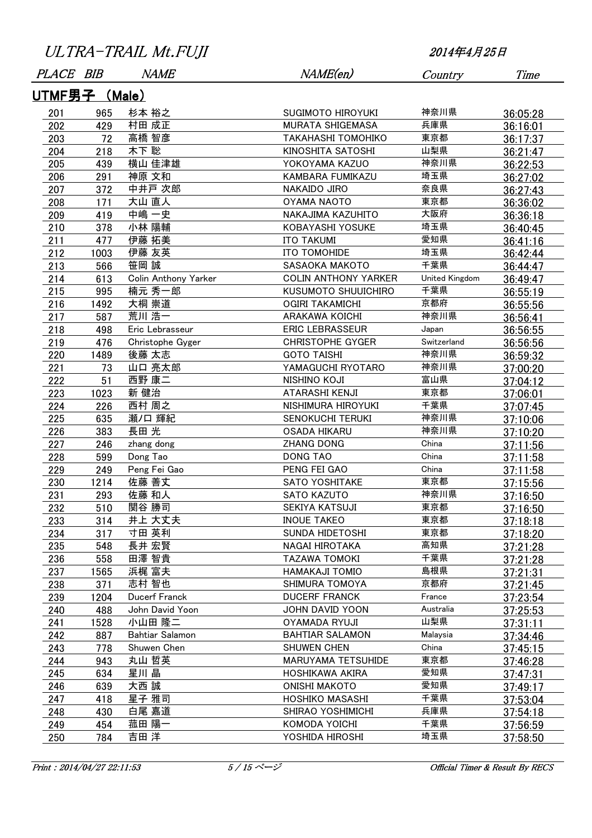| PLACE BIB     |      | <i>NAME</i>          | NAME(en)                    | Country        | Time     |  |  |  |  |
|---------------|------|----------------------|-----------------------------|----------------|----------|--|--|--|--|
| UTMF男子 (Male) |      |                      |                             |                |          |  |  |  |  |
| 201           | 965  | 杉本 裕之                | SUGIMOTO HIROYUKI           | 神奈川県           | 36:05:28 |  |  |  |  |
| 202           | 429  | 村田 成正                | MURATA SHIGEMASA            | 兵庫県            | 36:16:01 |  |  |  |  |
| 203           | 72   | 高橋 智彦                | <b>TAKAHASHI TOMOHIKO</b>   | 東京都            | 36:17:37 |  |  |  |  |
| 204           | 218  | 木下 聡                 | KINOSHITA SATOSHI           | 山梨県            | 36:21:47 |  |  |  |  |
| 205           | 439  | 横山 佳津雄               | YOKOYAMA KAZUO              | 神奈川県           | 36:22:53 |  |  |  |  |
| 206           | 291  | 神原 文和                | KAMBARA FUMIKAZU            | 埼玉県            | 36:27:02 |  |  |  |  |
| 207           | 372  | 中井戸 次郎               | NAKAIDO JIRO                | 奈良県            | 36:27:43 |  |  |  |  |
| 208           | 171  | 大山 直人                | <b>OYAMA NAOTO</b>          | 東京都            | 36:36:02 |  |  |  |  |
| 209           | 419  | 中嶋 一史                | NAKAJIMA KAZUHITO           | 大阪府            | 36:36:18 |  |  |  |  |
| 210           | 378  | 小林 陽輔                | KOBAYASHI YOSUKE            | 埼玉県            | 36:40:45 |  |  |  |  |
| 211           | 477  | 伊藤 拓美                | <b>ITO TAKUMI</b>           | 愛知県            | 36:41:16 |  |  |  |  |
| 212           | 1003 | 伊藤 友英                | ITO TOMOHIDE                | 埼玉県            | 36:42:44 |  |  |  |  |
| 213           | 566  | 笹岡 誠                 | <b>SASAOKA MAKOTO</b>       | 千葉県            | 36:44:47 |  |  |  |  |
| 214           | 613  | Colin Anthony Yarker | <b>COLIN ANTHONY YARKER</b> | United Kingdom | 36:49:47 |  |  |  |  |
| 215           | 995  | 楠元 秀一郎               | KUSUMOTO SHUUICHIRO         | 千葉県            | 36:55:19 |  |  |  |  |
| 216           | 1492 | 大桐 崇道                | <b>OGIRI TAKAMICHI</b>      | 京都府            | 36:55:56 |  |  |  |  |
| 217           | 587  | 荒川 浩一                | <b>ARAKAWA KOICHI</b>       | 神奈川県           | 36:56:41 |  |  |  |  |
| 218           | 498  | Eric Lebrasseur      | <b>ERIC LEBRASSEUR</b>      | Japan          | 36:56:55 |  |  |  |  |
| 219           | 476  | Christophe Gyger     | <b>CHRISTOPHE GYGER</b>     | Switzerland    | 36:56:56 |  |  |  |  |
| 220           | 1489 | 後藤 太志                | <b>GOTO TAISHI</b>          | 神奈川県           | 36:59:32 |  |  |  |  |
| 221           | 73   | 山口 亮太郎               | YAMAGUCHI RYOTARO           | 神奈川県           | 37:00:20 |  |  |  |  |
| 222           | 51   | 西野 康二                | <b>NISHINO KOJI</b>         | 富山県            | 37:04:12 |  |  |  |  |
| 223           | 1023 | 新 健治                 | ATARASHI KENJI              | 東京都            | 37:06:01 |  |  |  |  |
| 224           | 226  | 西村 周之                | NISHIMURA HIROYUKI          | 千葉県            | 37:07:45 |  |  |  |  |
| 225           | 635  | 瀬/口 輝紀               | <b>SENOKUCHI TERUKI</b>     | 神奈川県           | 37:10:06 |  |  |  |  |
| 226           | 383  | 長田 光                 | <b>OSADA HIKARU</b>         | 神奈川県           | 37:10:20 |  |  |  |  |
| 227           | 246  | zhang dong           | <b>ZHANG DONG</b>           | China          | 37:11:56 |  |  |  |  |
| 228           | 599  | Dong Tao             | <b>DONG TAO</b>             | China          | 37:11:58 |  |  |  |  |
| 229           | 249  | Peng Fei Gao         | PENG FEI GAO                | China          | 37:11:58 |  |  |  |  |
| 230           | 1214 | 佐藤 善丈                | <b>SATO YOSHITAKE</b>       | 東京都            | 37:15:56 |  |  |  |  |
| 231           | 293  | 佐藤 和人                | SATO KAZUTO                 | 神奈川県           | 37:16:50 |  |  |  |  |
| 232           | 510  | 関谷 勝司                | SEKIYA KATSUJI              | 東京都            | 37:16:50 |  |  |  |  |
| 233           | 314  | 井上 大丈夫               | <b>INOUE TAKEO</b>          | 東京都            | 37:18:18 |  |  |  |  |
| 234           | 317  | 寸田 英利                | SUNDA HIDETOSHI             | 東京都            | 37:18:20 |  |  |  |  |
| 235           | 548  | 長井 宏賢                | NAGAI HIROTAKA              | 高知県            | 37:21:28 |  |  |  |  |
| 236           | 558  | 田澤 智貴                | <b>TAZAWA TOMOKI</b>        | 千葉県            | 37:21:28 |  |  |  |  |
| 237           | 1565 | 浜梶 富夫                | HAMAKAJI TOMIO              | 島根県            | 37:21:31 |  |  |  |  |
| 238           | 371  | 志村 智也                | SHIMURA TOMOYA              | 京都府            | 37:21:45 |  |  |  |  |
| 239           | 1204 | <b>Ducerf Franck</b> | <b>DUCERF FRANCK</b>        | France         | 37:23:54 |  |  |  |  |
| 240           | 488  | John David Yoon      | JOHN DAVID YOON             | Australia      | 37:25:53 |  |  |  |  |
| 241           | 1528 | 小山田 隆二               | <b>OYAMADA RYUJI</b>        | 山梨県            | 37:31:11 |  |  |  |  |
| 242           | 887  | Bahtiar Salamon      | <b>BAHTIAR SALAMON</b>      | Malaysia       | 37:34:46 |  |  |  |  |
| 243           | 778  | Shuwen Chen          | SHUWEN CHEN                 | China          | 37:45:15 |  |  |  |  |
| 244           | 943  | 丸山 哲英                | <b>MARUYAMA TETSUHIDE</b>   | 東京都            | 37:46:28 |  |  |  |  |
| 245           | 634  | 星川 晶                 | HOSHIKAWA AKIRA             | 愛知県            | 37:47:31 |  |  |  |  |
| 246           | 639  | 大西 誠                 | <b>ONISHI MAKOTO</b>        | 愛知県            |          |  |  |  |  |
| 247           | 418  | 星子 雅司                | HOSHIKO MASASHI             | 千葉県            | 37:49:17 |  |  |  |  |
| 248           | 430  | 白尾 嘉道                | SHIRAO YOSHIMICHI           | 兵庫県            | 37:53:04 |  |  |  |  |
| 249           |      | 菰田 陽一                | KOMODA YOICHI               | 千葉県            | 37:54:18 |  |  |  |  |
|               | 454  | 吉田 洋                 | YOSHIDA HIROSHI             | 埼玉県            | 37:56:59 |  |  |  |  |
| 250           | 784  |                      |                             |                | 37:58:50 |  |  |  |  |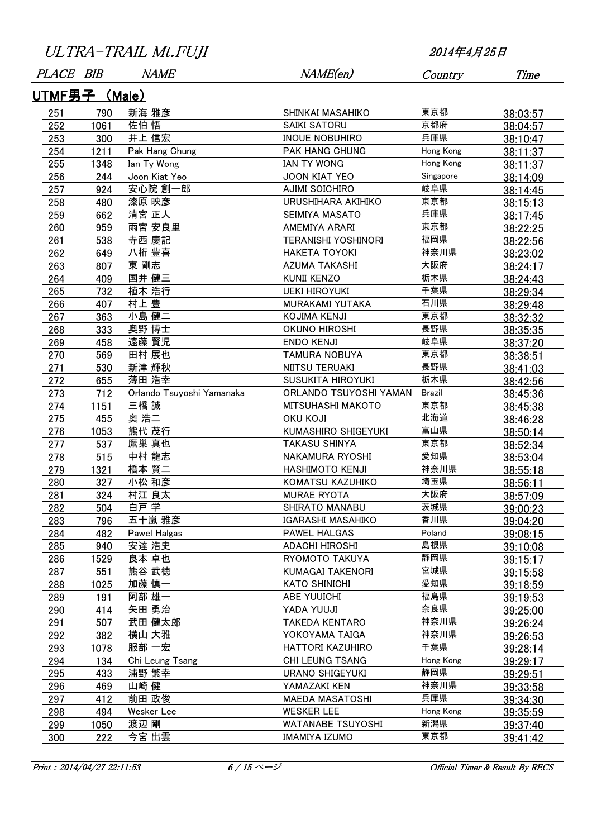| PLACE BIB     |      | <b>NAME</b>               | NAME(en)                   | Country       | Time     |
|---------------|------|---------------------------|----------------------------|---------------|----------|
| UTMF男子 (Male) |      |                           |                            |               |          |
| 251           | 790  | 新海 雅彦                     | SHINKAI MASAHIKO           | 東京都           | 38:03:57 |
| 252           | 1061 | 佐伯 悟                      | <b>SAIKI SATORU</b>        | 京都府           | 38:04:57 |
| 253           | 300  | 井上 信宏                     | <b>INOUE NOBUHIRO</b>      | 兵庫県           | 38:10:47 |
| 254           | 1211 | Pak Hang Chung            | PAK HANG CHUNG             | Hong Kong     | 38:11:37 |
| 255           | 1348 | Ian Ty Wong               | <b>IAN TY WONG</b>         | Hong Kong     | 38:11:37 |
| 256           | 244  | Joon Kiat Yeo             | <b>JOON KIAT YEO</b>       | Singapore     | 38:14:09 |
| 257           | 924  | 安心院 創一郎                   | <b>AJIMI SOICHIRO</b>      | 岐阜県           | 38:14:45 |
| 258           | 480  | 漆原 映彦                     | URUSHIHARA AKIHIKO         | 東京都           | 38:15:13 |
| 259           | 662  | 清宮 正人                     | SEIMIYA MASATO             | 兵庫県           | 38:17:45 |
| 260           | 959  | 雨宮 安良里                    | AMEMIYA ARARI              | 東京都           | 38:22:25 |
| 261           | 538  | 寺西 慶記                     | <b>TERANISHI YOSHINORI</b> | 福岡県           | 38:22:56 |
| 262           | 649  | 八桁 豊喜                     | <b>HAKETA TOYOKI</b>       | 神奈川県          | 38:23:02 |
| 263           | 807  | 東 剛志                      | <b>AZUMA TAKASHI</b>       | 大阪府           | 38:24:17 |
| 264           | 409  | 国井 健三                     | <b>KUNII KENZO</b>         | 栃木県           | 38:24:43 |
| 265           | 732  | 植木 浩行                     | <b>UEKI HIROYUKI</b>       | 千葉県           | 38:29:34 |
| 266           | 407  | 村上 豊                      | MURAKAMI YUTAKA            | 石川県           | 38:29:48 |
| 267           | 363  | 小島 健二                     | KOJIMA KENJI               | 東京都           | 38:32:32 |
| 268           | 333  | 奥野 博士                     | OKUNO HIROSHI              | 長野県           | 38:35:35 |
| 269           | 458  | 遠藤 賢児                     | <b>ENDO KENJI</b>          | 岐阜県           | 38:37:20 |
| 270           | 569  | 田村 展也                     | <b>TAMURA NOBUYA</b>       | 東京都           | 38:38:51 |
| 271           | 530  | 新津 輝秋                     | NIITSU TERUAKI             | 長野県           | 38:41:03 |
| 272           | 655  | 薄田 浩幸                     | SUSUKITA HIROYUKI          | 栃木県           | 38:42:56 |
| 273           | 712  | Orlando Tsuyoshi Yamanaka | ORLANDO TSUYOSHI YAMAN     | <b>Brazil</b> | 38:45:36 |
| 274           | 1151 | 三橋 誠                      | MITSUHASHI MAKOTO          | 東京都           | 38:45:38 |
| 275           | 455  | 奥 浩二                      | <b>OKU KOJI</b>            | 北海道           | 38:46:28 |
| 276           | 1053 | 熊代 茂行                     | KUMASHIRO SHIGEYUKI        | 富山県           | 38:50:14 |
| 277           | 537  | 鷹巣 真也                     | <b>TAKASU SHINYA</b>       | 東京都           | 38:52:34 |
| 278           | 515  | 中村 龍志                     | NAKAMURA RYOSHI            | 愛知県           | 38:53:04 |
| 279           | 1321 | 橋本 賢二                     | <b>HASHIMOTO KENJI</b>     | 神奈川県          | 38:55:18 |
| 280           | 327  | 小松 和彦                     | KOMATSU KAZUHIKO           | 埼玉県           | 38:56:11 |
| 281           | 324  | 村江 良太                     | <b>MURAE RYOTA</b>         | 大阪府           | 38:57:09 |
| 282           | 504  | 白戸 学                      | SHIRATO MANABU             | 茨城県           | 39:00:23 |
| 283           | 796  | 五十嵐 雅彦                    | IGARASHI MASAHIKO          | 香川県           | 39:04:20 |
| 284           | 482  | Pawel Halgas              | PAWEL HALGAS               | Poland        | 39:08:15 |
| 285           | 940  | 安達 浩史                     | <b>ADACHI HIROSHI</b>      | 島根県           | 39:10:08 |
| 286           | 1529 | 良本 卓也                     | RYOMOTO TAKUYA             | 静岡県           | 39:15:17 |
| 287           | 551  | 熊谷 武徳                     | <b>KUMAGAI TAKENORI</b>    | 宮城県           | 39:15:58 |
| 288           | 1025 | 加藤 慎一                     | <b>KATO SHINICHI</b>       | 愛知県           | 39:18:59 |
| 289           | 191  | 阿部 雄一                     | <b>ABE YUUICHI</b>         | 福島県           | 39:19:53 |
| 290           | 414  | 矢田 勇治                     | <b>YADA YUUJI</b>          | 奈良県           | 39:25:00 |
| 291           | 507  | 武田 健太郎                    | <b>TAKEDA KENTARO</b>      | 神奈川県          | 39:26:24 |
| 292           | 382  | 横山 大雅                     | YOKOYAMA TAIGA             | 神奈川県          | 39:26:53 |
| 293           | 1078 | 服部 一宏                     | HATTORI KAZUHIRO           | 千葉県           | 39:28:14 |
| 294           | 134  | Chi Leung Tsang           | CHI LEUNG TSANG            | Hong Kong     | 39:29:17 |
| 295           | 433  | 浦野 繁幸                     | <b>URANO SHIGEYUKI</b>     | 静岡県           | 39:29:51 |
| 296           | 469  | 山崎 健                      | YAMAZAKI KEN               | 神奈川県          | 39:33:58 |
| 297           | 412  | 前田 政俊                     | <b>MAEDA MASATOSHI</b>     | 兵庫県           | 39:34:30 |
| 298           | 494  | Wesker Lee                | <b>WESKER LEE</b>          | Hong Kong     | 39:35:59 |
| 299           | 1050 | 渡辺 剛                      | <b>WATANABE TSUYOSHI</b>   | 新潟県           | 39:37:40 |
| 300           | 222  | 今宮 出雲                     | <b>IMAMIYA IZUMO</b>       | 東京都           | 39:41:42 |
|               |      |                           |                            |               |          |

Print : 2014/04/27 22:11:53 6 / 15 ページ 15 Official Timer & Result By RECS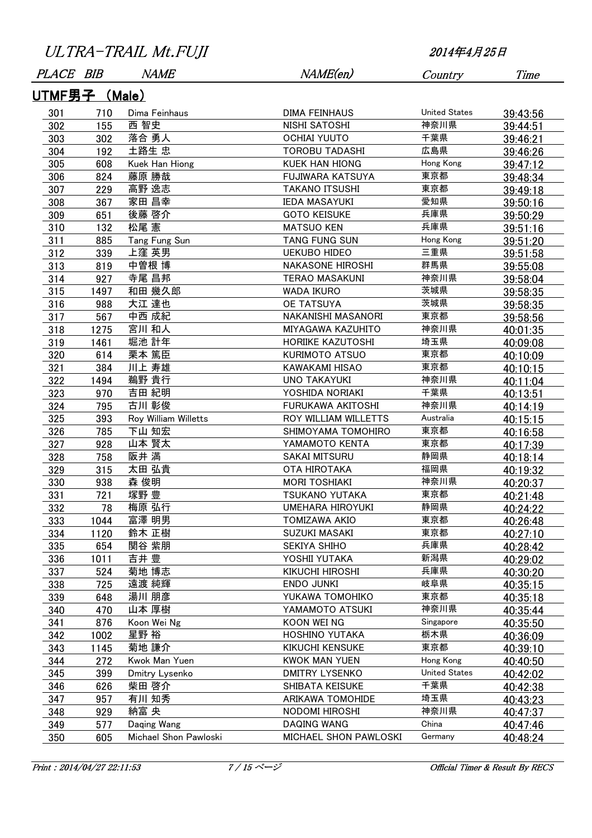| <i>PLACE</i>  | BIB  | <i>NAME</i>           | NAME(en)                 | Country              | Time     |  |  |  |
|---------------|------|-----------------------|--------------------------|----------------------|----------|--|--|--|
| UTMF男子 (Male) |      |                       |                          |                      |          |  |  |  |
| 301           | 710  | Dima Feinhaus         | DIMA FEINHAUS            | <b>United States</b> | 39:43:56 |  |  |  |
| 302           | 155  | 西 智史                  | NISHI SATOSHI            | 神奈川県                 | 39:44:51 |  |  |  |
| 303           | 302  | 落合 勇人                 | <b>OCHIAI YUUTO</b>      | 千葉県                  | 39:46:21 |  |  |  |
| 304           | 192  | 土路生 忠                 | <b>TOROBU TADASHI</b>    | 広島県                  | 39:46:26 |  |  |  |
| 305           | 608  | Kuek Han Hiong        | <b>KUEK HAN HIONG</b>    | Hong Kong            | 39:47:12 |  |  |  |
| 306           | 824  | 藤原 勝哉                 | FUJIWARA KATSUYA         | 東京都                  | 39:48:34 |  |  |  |
| 307           | 229  | 高野 逸志                 | <b>TAKANO ITSUSHI</b>    | 東京都                  | 39:49:18 |  |  |  |
| 308           | 367  | 家田 昌幸                 | <b>IEDA MASAYUKI</b>     | 愛知県                  | 39:50:16 |  |  |  |
| 309           | 651  | 後藤 啓介                 | <b>GOTO KEISUKE</b>      | 兵庫県                  | 39:50:29 |  |  |  |
| 310           | 132  | 松尾 憲                  | <b>MATSUO KEN</b>        | 兵庫県                  | 39:51:16 |  |  |  |
| 311           | 885  | Tang Fung Sun         | TANG FUNG SUN            | Hong Kong            | 39:51:20 |  |  |  |
| 312           | 339  | 上窪 英男                 | <b>UEKUBO HIDEO</b>      | 三重県                  | 39:51:58 |  |  |  |
| 313           | 819  | 中曽根 博                 | <b>NAKASONE HIROSHI</b>  | 群馬県                  | 39:55:08 |  |  |  |
| 314           | 927  | 寺尾 昌邦                 | <b>TERAO MASAKUNI</b>    | 神奈川県                 | 39:58:04 |  |  |  |
| 315           | 1497 | 和田 幾久郎                | <b>WADA IKURO</b>        | 茨城県                  | 39:58:35 |  |  |  |
| 316           | 988  | 大江 達也                 | <b>OE TATSUYA</b>        | 茨城県                  | 39:58:35 |  |  |  |
| 317           | 567  | 中西 成紀                 | NAKANISHI MASANORI       | 東京都                  | 39:58:56 |  |  |  |
| 318           | 1275 | 宮川 和人                 | MIYAGAWA KAZUHITO        | 神奈川県                 | 40:01:35 |  |  |  |
| 319           | 1461 | 堀池 計年                 | <b>HORIIKE KAZUTOSHI</b> | 埼玉県                  | 40:09:08 |  |  |  |
| 320           | 614  | 栗本 篤臣                 | KURIMOTO ATSUO           | 東京都                  | 40:10:09 |  |  |  |
| 321           | 384  | 川上 寿雄                 | <b>KAWAKAMI HISAO</b>    | 東京都                  | 40:10:15 |  |  |  |
| 322           | 1494 | 鵜野 貴行                 | <b>UNO TAKAYUKI</b>      | 神奈川県                 | 40:11:04 |  |  |  |
| 323           | 970  | 吉田 紀明                 | YOSHIDA NORIAKI          | 千葉県                  | 40:13:51 |  |  |  |
| 324           | 795  | 古川 彰俊                 | FURUKAWA AKITOSHI        | 神奈川県                 | 40:14:19 |  |  |  |
| 325           | 393  | Roy William Willetts  | ROY WILLIAM WILLETTS     | Australia            | 40:15:15 |  |  |  |
| 326           | 785  | 下山 知宏                 | SHIMOYAMA TOMOHIRO       | 東京都                  | 40:16:58 |  |  |  |
| 327           | 928  | 山本 賢太                 | YAMAMOTO KENTA           | 東京都                  | 40:17:39 |  |  |  |
| 328           | 758  | 阪井 満                  | <b>SAKAI MITSURU</b>     | 静岡県                  | 40:18:14 |  |  |  |
| 329           | 315  | 太田 弘貴                 | <b>OTA HIROTAKA</b>      | 福岡県                  | 40:19:32 |  |  |  |
| 330           | 938  | 森 俊明                  | <b>MORI TOSHIAKI</b>     | 神奈川県                 | 40:20:37 |  |  |  |
| 331           | 721  | 塚野 豊                  | <b>TSUKANO YUTAKA</b>    | 東京都                  | 40:21:48 |  |  |  |
| 332           | 78   | 梅原 弘行                 | <b>UMEHARA HIROYUKI</b>  | 静岡県                  | 40:24:22 |  |  |  |
| 333           | 1044 | 富澤 明男                 | TOMIZAWA AKIO            | 東京都                  | 40:26:48 |  |  |  |
| 334           | 1120 | 鈴木 正樹                 | SUZUKI MASAKI            | 東京都                  | 40:27:10 |  |  |  |
| 335           | 654  | 関谷 紫朋                 | SEKIYA SHIHO             | 兵庫県                  | 40:28:42 |  |  |  |
| 336           | 1011 | 吉井 豊                  | YOSHII YUTAKA            | 新潟県                  | 40:29:02 |  |  |  |
| 337           | 524  | 菊地 博志                 | <b>KIKUCHI HIROSHI</b>   | 兵庫県                  | 40:30:20 |  |  |  |
| 338           | 725  | 遠渡 純輝                 | ENDO JUNKI               | 岐阜県                  | 40:35:15 |  |  |  |
| 339           | 648  | 湯川 朋彦                 | YUKAWA TOMOHIKO          | 東京都                  | 40:35:18 |  |  |  |
| 340           | 470  | 山本 厚樹                 | YAMAMOTO ATSUKI          | 神奈川県                 | 40:35:44 |  |  |  |
| 341           | 876  | Koon Wei Ng           | KOON WEI NG              | Singapore            | 40:35:50 |  |  |  |
| 342           | 1002 | 星野 裕                  | <b>HOSHINO YUTAKA</b>    | 栃木県                  | 40:36:09 |  |  |  |
| 343           | 1145 | 菊地 謙介                 | <b>KIKUCHI KENSUKE</b>   | 東京都                  | 40:39:10 |  |  |  |
| 344           | 272  | Kwok Man Yuen         | <b>KWOK MAN YUEN</b>     | Hong Kong            | 40:40:50 |  |  |  |
| 345           | 399  | Dmitry Lysenko        | <b>DMITRY LYSENKO</b>    | <b>United States</b> | 40:42:02 |  |  |  |
| 346           | 626  | 柴田 啓介                 | SHIBATA KEISUKE          | 千葉県                  | 40:42:38 |  |  |  |
| 347           | 957  | 有川 知秀                 | ARIKAWA TOMOHIDE         | 埼玉県                  | 40:43:23 |  |  |  |
| 348           | 929  | 納富 央                  | NODOMI HIROSHI           | 神奈川県                 | 40:47:37 |  |  |  |
| 349           | 577  | Daqing Wang           | DAQING WANG              | China                | 40:47:46 |  |  |  |
| 350           | 605  | Michael Shon Pawloski | MICHAEL SHON PAWLOSKI    | Germany              | 40:48:24 |  |  |  |

Print : 2014/04/27 22:11:53 7 / 15 ページ 15 Official Timer & Result By RECS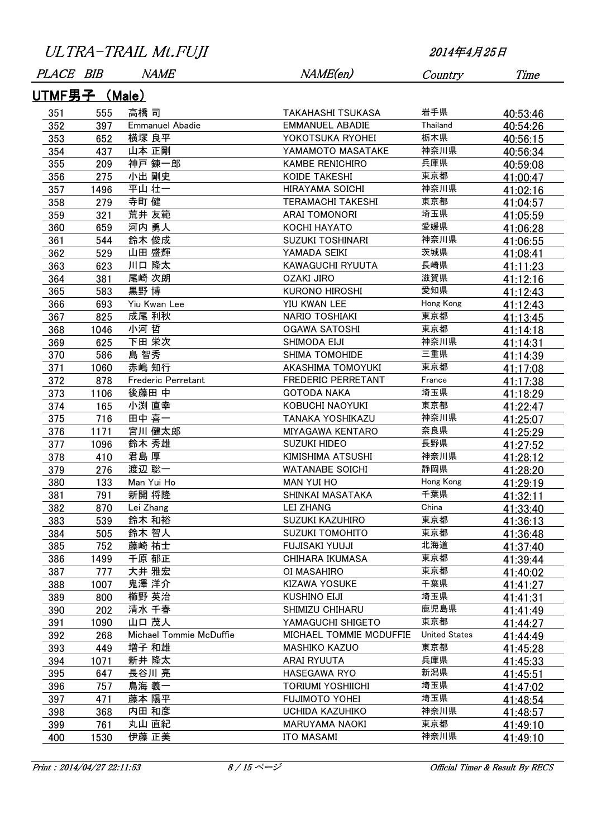| <b>PLACE</b>         | <i>BIB</i> | <i>NAME</i>             | NAME(en)                  | Country              | Time     |
|----------------------|------------|-------------------------|---------------------------|----------------------|----------|
| <u>UTMF男子 (Male)</u> |            |                         |                           |                      |          |
| 351                  | 555        | 高橋 司                    | TAKAHASHI TSUKASA         | 岩手県                  | 40:53:46 |
| 352                  | 397        | <b>Emmanuel Abadie</b>  | <b>EMMANUEL ABADIE</b>    | Thailand             | 40:54:26 |
| 353                  | 652        | 横塚 良平                   | YOKOTSUKA RYOHEI          | 栃木県                  | 40:56:15 |
| 354                  | 437        | 山本 正剛                   | YAMAMOTO MASATAKE         | 神奈川県                 | 40:56:34 |
| 355                  | 209        | 神戸 錬一郎                  | <b>KAMBE RENICHIRO</b>    | 兵庫県                  | 40:59:08 |
| 356                  | 275        | 小出 剛史                   | KOIDE TAKESHI             | 東京都                  | 41:00:47 |
| 357                  | 1496       | 平山 壮一                   | <b>HIRAYAMA SOICHI</b>    | 神奈川県                 | 41:02:16 |
| 358                  | 279        | 寺町 健                    | <b>TERAMACHI TAKESHI</b>  | 東京都                  | 41:04:57 |
| 359                  | 321        | 荒井 友範                   | <b>ARAI TOMONORI</b>      | 埼玉県                  | 41:05:59 |
| 360                  | 659        | 河内 勇人                   | KOCHI HAYATO              | 愛媛県                  | 41:06:28 |
| 361                  | 544        | 鈴木 俊成                   | <b>SUZUKI TOSHINARI</b>   | 神奈川県                 | 41:06:55 |
| 362                  | 529        | 山田 盛輝                   | YAMADA SEIKI              | 茨城県                  | 41:08:41 |
| 363                  | 623        | 川口 隆太                   | KAWAGUCHI RYUUTA          | 長崎県                  | 41:11:23 |
| 364                  | 381        | 尾崎 次朗                   | OZAKI JIRO                | 滋賀県                  | 41:12:16 |
| 365                  | 583        | 黒野 博                    | <b>KURONO HIROSHI</b>     | 愛知県                  | 41:12:43 |
| 366                  | 693        | Yiu Kwan Lee            | YIU KWAN LEE              | Hong Kong            | 41:12:43 |
| 367                  | 825        | 成尾 利秋                   | NARIO TOSHIAKI            | 東京都                  | 41:13:45 |
| 368                  | 1046       | 小河 哲                    | <b>OGAWA SATOSHI</b>      | 東京都                  | 41:14:18 |
| 369                  | 625        | 下田 栄次                   | SHIMODA EIJI              | 神奈川県                 | 41:14:31 |
| 370                  | 586        | 島 智秀                    | <b>SHIMA TOMOHIDE</b>     | 三重県                  | 41:14:39 |
| 371                  | 1060       | 赤嶋 知行                   | AKASHIMA TOMOYUKI         | 東京都                  | 41:17:08 |
| 372                  | 878        | Frederic Perretant      | <b>FREDERIC PERRETANT</b> | France               | 41:17:38 |
| 373                  | 1106       | 後藤田 中                   | <b>GOTODA NAKA</b>        | 埼玉県                  | 41:18:29 |
| 374                  | 165        | 小渕 直幸                   | KOBUCHI NAOYUKI           | 東京都                  | 41:22:47 |
| 375                  | 716        | 田中 喜一                   | TANAKA YOSHIKAZU          | 神奈川県                 | 41:25:07 |
| 376                  | 1171       | 宮川 健太郎                  | <b>MIYAGAWA KENTARO</b>   | 奈良県                  | 41:25:29 |
| 377                  | 1096       | 鈴木 秀雄                   | <b>SUZUKI HIDEO</b>       | 長野県                  | 41:27:52 |
| 378                  | 410        | 君島 厚                    | KIMISHIMA ATSUSHI         | 神奈川県                 | 41:28:12 |
| 379                  | 276        | 渡辺 聡一                   | <b>WATANABE SOICHI</b>    | 静岡県                  | 41:28:20 |
| 380                  | 133        | Man Yui Ho              | <b>MAN YUI HO</b>         | Hong Kong            | 41:29:19 |
| 381                  | 791        | 新開 将隆                   | SHINKAI MASATAKA          | 千葉県                  | 41:32:11 |
| 382                  | 870        | Lei Zhang               | <b>LEI ZHANG</b>          | China                | 41:33:40 |
| 383                  | 539        | 鈴木 和裕                   | <b>SUZUKI KAZUHIRO</b>    | 東京都                  | 41:36:13 |
| 384                  | 505        | 鈴木 智人                   | <b>SUZUKI TOMOHITO</b>    | 東京都                  | 41:36:48 |
| 385                  | 752        | 藤崎 祐士                   | <b>FUJISAKI YUUJI</b>     | 北海道                  | 41:37:40 |
| 386                  | 1499       | 千原 郁正                   | <b>CHIHARA IKUMASA</b>    | 東京都                  | 41:39:44 |
| 387                  | 777        | 大井 雅宏                   | OI MASAHIRO               | 東京都                  | 41:40:02 |
| 388                  | 1007       | 鬼澤 洋介                   | <b>KIZAWA YOSUKE</b>      | 千葉県                  | 41:41:27 |
| 389                  | 800        | 櫛野 英治                   | <b>KUSHINO EIJI</b>       | 埼玉県                  | 41:41:31 |
| 390                  | 202        | 清水 千春                   | SHIMIZU CHIHARU           | 鹿児島県                 | 41:41:49 |
| 391                  | 1090       | 山口 茂人                   | YAMAGUCHI SHIGETO         | 東京都                  | 41:44:27 |
| 392                  | 268        | Michael Tommie McDuffie | MICHAEL TOMMIE MCDUFFIE   | <b>United States</b> | 41:44:49 |
| 393                  | 449        | 増子 和雄                   | <b>MASHIKO KAZUO</b>      | 東京都                  | 41:45:28 |
| 394                  | 1071       | 新井 隆太                   | ARAI RYUUTA               | 兵庫県                  | 41:45:33 |
| 395                  | 647        | 長谷川 亮                   | <b>HASEGAWA RYO</b>       | 新潟県                  | 41:45:51 |
| 396                  | 757        | 鳥海 義一                   | <b>TORIUMI YOSHIICHI</b>  | 埼玉県                  | 41:47:02 |
| 397                  | 471        | 藤本 陽平                   | <b>FUJIMOTO YOHEI</b>     | 埼玉県                  | 41:48:54 |
| 398                  | 368        | 内田 和彦                   | <b>UCHIDA KAZUHIKO</b>    | 神奈川県                 | 41:48:57 |
| 399                  | 761        | 丸山 直紀                   | <b>MARUYAMA NAOKI</b>     | 東京都                  | 41:49:10 |
| 400                  | 1530       | 伊藤 正美                   | <b>ITO MASAMI</b>         | 神奈川県                 | 41:49:10 |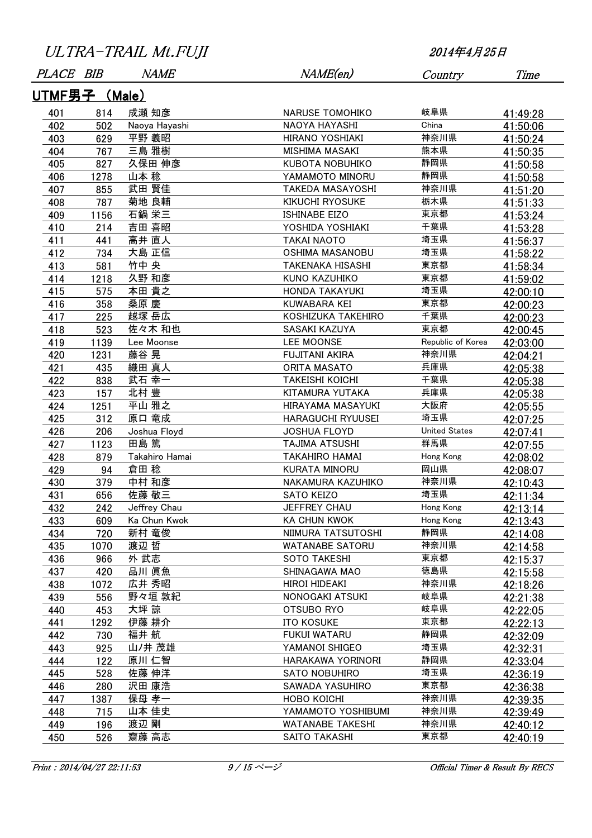| <i>PLACE</i>  | BIB  | <i>NAME</i>    | NAME(en)                 | Country              | Time     |  |  |  |
|---------------|------|----------------|--------------------------|----------------------|----------|--|--|--|
| UTMF男子 (Male) |      |                |                          |                      |          |  |  |  |
| 401           | 814  | 成瀬 知彦          | <b>NARUSE TOMOHIKO</b>   | 岐阜県                  | 41:49:28 |  |  |  |
| 402           | 502  | Naoya Hayashi  | NAOYA HAYASHI            | China                | 41:50:06 |  |  |  |
| 403           | 629  | 平野 義昭          | <b>HIRANO YOSHIAKI</b>   | 神奈川県                 | 41:50:24 |  |  |  |
| 404           | 767  | 三島 雅樹          | <b>MISHIMA MASAKI</b>    | 熊本県                  | 41:50:35 |  |  |  |
| 405           | 827  | 久保田 伸彦         | KUBOTA NOBUHIKO          | 静岡県                  | 41:50:58 |  |  |  |
| 406           | 1278 | 山本 稔           | YAMAMOTO MINORU          | 静岡県                  | 41:50:58 |  |  |  |
| 407           | 855  | 武田 賢佳          | <b>TAKEDA MASAYOSHI</b>  | 神奈川県                 | 41:51:20 |  |  |  |
| 408           | 787  | 菊地 良輔          | <b>KIKUCHI RYOSUKE</b>   | 栃木県                  | 41:51:33 |  |  |  |
| 409           | 1156 | 石鍋 栄三          | <b>ISHINABE EIZO</b>     | 東京都                  | 41:53:24 |  |  |  |
| 410           | 214  | 吉田 喜昭          | YOSHIDA YOSHIAKI         | 千葉県                  | 41:53:28 |  |  |  |
| 411           | 441  | 高井 直人          | <b>TAKAI NAOTO</b>       | 埼玉県                  | 41:56:37 |  |  |  |
| 412           | 734  | 大島 正信          | <b>OSHIMA MASANOBU</b>   | 埼玉県                  | 41:58:22 |  |  |  |
| 413           | 581  | 竹中 央           | <b>TAKENAKA HISASHI</b>  | 東京都                  | 41:58:34 |  |  |  |
| 414           | 1218 | 久野 和彦          | KUNO KAZUHIKO            | 東京都                  | 41:59:02 |  |  |  |
| 415           | 575  | 本田 貴之          | HONDA TAKAYUKI           | 埼玉県                  | 42:00:10 |  |  |  |
| 416           | 358  | 桑原 慶           | KUWABARA KEI             | 東京都                  | 42:00:23 |  |  |  |
| 417           | 225  | 越塚 岳広          | KOSHIZUKA TAKEHIRO       | 千葉県                  | 42:00:23 |  |  |  |
| 418           | 523  | 佐々木 和也         | SASAKI KAZUYA            | 東京都                  | 42:00:45 |  |  |  |
| 419           | 1139 | Lee Moonse     | <b>LEE MOONSE</b>        | Republic of Korea    | 42:03:00 |  |  |  |
| 420           | 1231 | 藤谷 晃           | <b>FUJITANI AKIRA</b>    | 神奈川県                 | 42:04:21 |  |  |  |
| 421           | 435  | 織田 真人          | ORITA MASATO             | 兵庫県                  | 42:05:38 |  |  |  |
| 422           | 838  | 武石 幸一          | <b>TAKEISHI KOICHI</b>   | 千葉県                  | 42:05:38 |  |  |  |
| 423           | 157  | 北村 豊           | KITAMURA YUTAKA          | 兵庫県                  | 42:05:38 |  |  |  |
| 424           | 1251 | 平山 雅之          | HIRAYAMA MASAYUKI        | 大阪府                  | 42:05:55 |  |  |  |
| 425           | 312  | 原口 竜成          | <b>HARAGUCHI RYUUSEI</b> | 埼玉県                  | 42:07:25 |  |  |  |
| 426           | 206  | Joshua Floyd   | <b>JOSHUA FLOYD</b>      | <b>United States</b> | 42:07:41 |  |  |  |
| 427           | 1123 | 田島 篤           | <b>TAJIMA ATSUSHI</b>    | 群馬県                  | 42:07:55 |  |  |  |
| 428           | 879  | Takahiro Hamai | <b>TAKAHIRO HAMAI</b>    | Hong Kong            | 42:08:02 |  |  |  |
| 429           | 94   | 倉田 稔           | KURATA MINORU            | 岡山県                  | 42:08:07 |  |  |  |
| 430           | 379  | 中村 和彦          | NAKAMURA KAZUHIKO        | 神奈川県                 | 42:10:43 |  |  |  |
| 431           | 656  | 佐藤 敬三          | SATO KEIZO               | 埼玉県                  | 42:11:34 |  |  |  |
| 432           | 242  | Jeffrey Chau   | JEFFREY CHAU             | Hong Kong            | 42:13:14 |  |  |  |
| 433           | 609  | Ka Chun Kwok   | <b>KA CHUN KWOK</b>      | Hong Kong            | 42:13:43 |  |  |  |
| 434           | 720  | 新村 竜俊          | NIIMURA TATSUTOSHI       | 静岡県                  | 42:14:08 |  |  |  |
| 435           | 1070 | 渡辺 哲           | <b>WATANABE SATORU</b>   | 神奈川県                 | 42:14:58 |  |  |  |
| 436           | 966  | 外 武志           | SOTO TAKESHI             | 東京都                  | 42:15:37 |  |  |  |
| 437           | 420  | 品川 眞魚          | SHINAGAWA MAO            | 徳島県                  | 42:15:58 |  |  |  |
| 438           | 1072 | 広井 秀昭          | <b>HIROI HIDEAKI</b>     | 神奈川県                 | 42:18:26 |  |  |  |
| 439           | 556  | 野々垣 敦紀         | NONOGAKI ATSUKI          | 岐阜県                  | 42:21:38 |  |  |  |
| 440           | 453  | 大坪 諒           | OTSUBO RYO               | 岐阜県                  | 42:22:05 |  |  |  |
| 441           | 1292 | 伊藤 耕介          | <b>ITO KOSUKE</b>        | 東京都                  | 42:22:13 |  |  |  |
| 442           | 730  | 福井 航           | <b>FUKUI WATARU</b>      | 静岡県                  | 42:32:09 |  |  |  |
| 443           | 925  | 山/井茂雄          | YAMANOI SHIGEO           | 埼玉県                  | 42:32:31 |  |  |  |
| 444           | 122  | 原川 仁智          | HARAKAWA YORINORI        | 静岡県                  | 42:33:04 |  |  |  |
| 445           | 528  | 佐藤 伸洋          | SATO NOBUHIRO            | 埼玉県                  | 42:36:19 |  |  |  |
| 446           | 280  | 沢田 康浩          | SAWADA YASUHIRO          | 東京都                  | 42:36:38 |  |  |  |
| 447           | 1387 | 保母 孝一          | HOBO KOICHI              | 神奈川県                 | 42:39:35 |  |  |  |
| 448           | 715  | 山本 佳史          | YAMAMOTO YOSHIBUMI       | 神奈川県                 | 42:39:49 |  |  |  |
| 449           | 196  | 渡辺 剛           | <b>WATANABE TAKESHI</b>  | 神奈川県                 | 42:40:12 |  |  |  |
| 450           | 526  | 齋藤 高志          | SAITO TAKASHI            | 東京都                  | 42:40:19 |  |  |  |

Print : 2014/04/27 22:11:53 9 / 15 ページ : 15 Official Timer & Result By RECS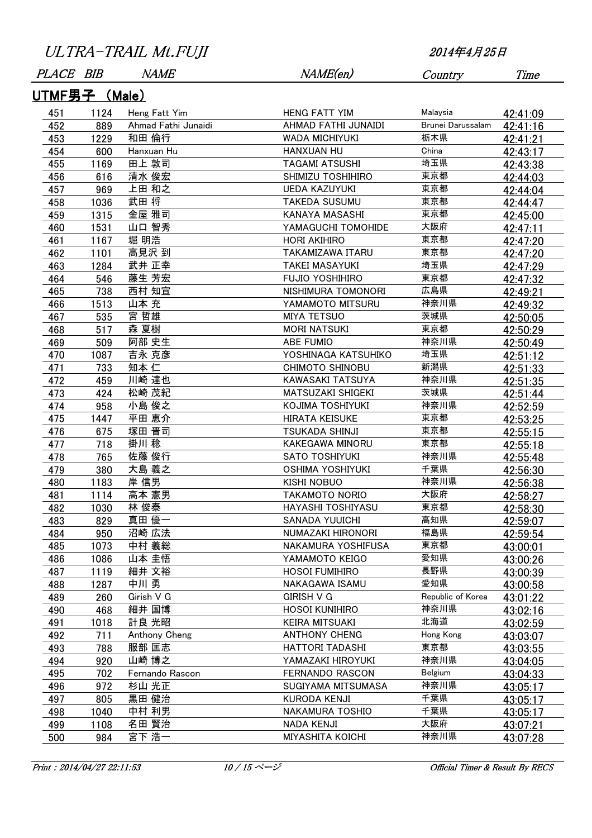| PLACE BIB     |      | <i>NAME</i>         | NAME(en)                 | Country           | Time     |  |  |  |
|---------------|------|---------------------|--------------------------|-------------------|----------|--|--|--|
| UTMF男子 (Male) |      |                     |                          |                   |          |  |  |  |
| 451           | 1124 | Heng Fatt Yim       | <b>HENG FATT YIM</b>     | Malaysia          | 42:41:09 |  |  |  |
| 452           | 889  | Ahmad Fathi Junaidi | AHMAD FATHI JUNAIDI      | Brunei Darussalam | 42:41:16 |  |  |  |
| 453           | 1229 | 和田 倫行               | WADA MICHIYUKI           | 栃木県               | 42:41:21 |  |  |  |
| 454           | 600  | Hanxuan Hu          | HANXUAN HU               | China             | 42:43:17 |  |  |  |
| 455           | 1169 | 田上 敦司               | <b>TAGAMI ATSUSHI</b>    | 埼玉県               | 42:43:38 |  |  |  |
| 456           | 616  | 清水 俊宏               | SHIMIZU TOSHIHIRO        | 東京都               | 42:44:03 |  |  |  |
| 457           | 969  | 上田 和之               | <b>UEDA KAZUYUKI</b>     | 東京都               | 42:44:04 |  |  |  |
| 458           | 1036 | 武田 将                | <b>TAKEDA SUSUMU</b>     | 東京都               | 42:44:47 |  |  |  |
| 459           | 1315 | 金屋 雅司               | KANAYA MASASHI           | 東京都               | 42:45:00 |  |  |  |
| 460           | 1531 | 山口 智秀               | YAMAGUCHI TOMOHIDE       | 大阪府               | 42:47:11 |  |  |  |
| 461           | 1167 | 堀 明浩                | <b>HORI AKIHIRO</b>      | 東京都               | 42:47:20 |  |  |  |
| 462           | 1101 | 高見沢 到               | TAKAMIZAWA ITARU         | 東京都               | 42:47:20 |  |  |  |
| 463           | 1284 | 武井 正幸               | <b>TAKEI MASAYUKI</b>    | 埼玉県               | 42:47:29 |  |  |  |
| 464           | 546  | 藤生 芳宏               | <b>FUJIO YOSHIHIRO</b>   | 東京都               | 42:47:32 |  |  |  |
| 465           | 738  | 西村 知宣               | NISHIMURA TOMONORI       | 広島県               | 42:49:21 |  |  |  |
| 466           | 1513 | 山本 充                | YAMAMOTO MITSURU         | 神奈川県              | 42:49:32 |  |  |  |
| 467           | 535  | 宮 哲雄                | <b>MIYA TETSUO</b>       | 茨城県               | 42:50:05 |  |  |  |
| 468           | 517  | 森 夏樹                | <b>MORI NATSUKI</b>      | 東京都               | 42:50:29 |  |  |  |
| 469           | 509  | 阿部 史生               | <b>ABE FUMIO</b>         | 神奈川県              | 42:50:49 |  |  |  |
| 470           | 1087 | 吉永 克彦               | YOSHINAGA KATSUHIKO      | 埼玉県               | 42:51:12 |  |  |  |
| 471           | 733  | 知本 仁                | <b>CHIMOTO SHINOBU</b>   | 新潟県               | 42:51:33 |  |  |  |
| 472           | 459  | 川崎 達也               | <b>KAWASAKI TATSUYA</b>  | 神奈川県              | 42:51:35 |  |  |  |
| 473           | 424  | 松崎 茂紀               | <b>MATSUZAKI SHIGEKI</b> | 茨城県               | 42:51:44 |  |  |  |
| 474           | 958  | 小島 俊之               | KOJIMA TOSHIYUKI         | 神奈川県              | 42:52:59 |  |  |  |
| 475           | 1447 | 平田 恵介               | <b>HIRATA KEISUKE</b>    | 東京都               | 42:53:25 |  |  |  |
| 476           | 675  | 塚田 晋司               | TSUKADA SHINJI           | 東京都               | 42:55:15 |  |  |  |
| 477           | 718  | 掛川 稔                | <b>KAKEGAWA MINORU</b>   | 東京都               | 42:55:18 |  |  |  |
| 478           | 765  | 佐藤 俊行               | SATO TOSHIYUKI           | 神奈川県              | 42:55:48 |  |  |  |
| 479           | 380  | 大島 義之               | <b>OSHIMA YOSHIYUKI</b>  | 千葉県               | 42:56:30 |  |  |  |
| 480           | 1183 | 岸 信男                | <b>KISHI NOBUO</b>       | 神奈川県              | 42:56:38 |  |  |  |
| 481           | 1114 | 高本 憲男               | <b>TAKAMOTO NORIO</b>    | 大阪府               | 42:58:27 |  |  |  |
| 482           | 1030 | 林 俊泰                | HAYASHI TOSHIYASU        | 東京都               | 42:58:30 |  |  |  |
| 483           | 829  | 真田 優一               | <b>SANADA YUUICHI</b>    | 高知県               | 42:59:07 |  |  |  |
| 484           | 950  | 沼崎 広法               | NUMAZAKI HIRONORI        | 福島県               | 42:59:54 |  |  |  |
| 485           | 1073 | 中村 義総               | NAKAMURA YOSHIFUSA       | 東京都               | 43:00:01 |  |  |  |
| 486           | 1086 | 山本 圭悟               | YAMAMOTO KEIGO           | 愛知県               | 43:00:26 |  |  |  |
| 487           | 1119 | 細井 文裕               | <b>HOSOI FUMIHIRO</b>    | 長野県               | 43:00:39 |  |  |  |
| 488           | 1287 | 中川 勇                | NAKAGAWA ISAMU           | 愛知県               | 43:00:58 |  |  |  |
| 489           | 260  | Girish V G          | <b>GIRISH V G</b>        | Republic of Korea | 43:01:22 |  |  |  |
| 490           | 468  | 細井 国博               | <b>HOSOI KUNIHIRO</b>    | 神奈川県              | 43:02:16 |  |  |  |
| 491           | 1018 | 計良 光昭               | <b>KEIRA MITSUAKI</b>    | 北海道               | 43:02:59 |  |  |  |
| 492           | 711  | Anthony Cheng       | <b>ANTHONY CHENG</b>     | Hong Kong         | 43:03:07 |  |  |  |
| 493           | 788  | 服部 匡志               | <b>HATTORI TADASHI</b>   | 東京都               | 43:03:55 |  |  |  |
| 494           | 920  | 山崎 博之               | YAMAZAKI HIROYUKI        | 神奈川県              | 43:04:05 |  |  |  |
| 495           | 702  | Fernando Rascon     | <b>FERNANDO RASCON</b>   | Belgium           | 43:04:33 |  |  |  |
| 496           | 972  | 杉山 光正               | SUGIYAMA MITSUMASA       | 神奈川県              | 43:05:17 |  |  |  |
| 497           | 805  | 黒田 健治               | <b>KURODA KENJI</b>      | 千葉県               | 43:05:17 |  |  |  |
| 498           | 1040 | 中村 利男               | NAKAMURA TOSHIO          | 千葉県               | 43:05:17 |  |  |  |
| 499           | 1108 | 名田 賢治               | <b>NADA KENJI</b>        | 大阪府               | 43:07:21 |  |  |  |
| 500           | 984  | 宮下 浩一               | <b>MIYASHITA KOICHI</b>  | 神奈川県              | 43:07:28 |  |  |  |
|               |      |                     |                          |                   |          |  |  |  |

Print : 2014/04/27 22:11:53 10 / 15 ページ : Official Timer & Result By RECS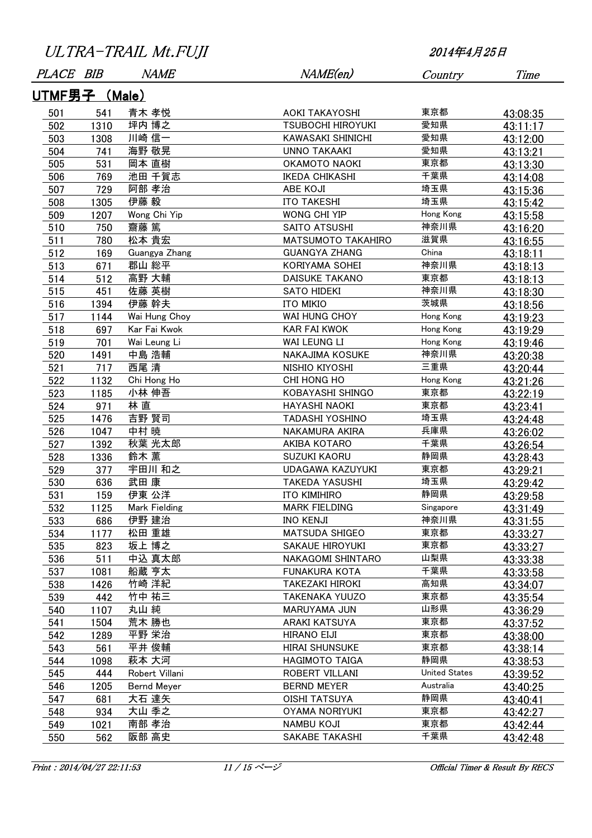| ULTRA-TRAIL Mt.FUJI |  |
|---------------------|--|
|---------------------|--|

| <i>PLACE</i>  | BIB  | <i>NAME</i>    | NAME(en)                 | Country              | Time     |  |
|---------------|------|----------------|--------------------------|----------------------|----------|--|
| UTMF男子 (Male) |      |                |                          |                      |          |  |
| 501           | 541  | 青木 孝悦          | AOKI TAKAYOSHI           | 東京都                  | 43:08:35 |  |
| 502           | 1310 | 坪内 博之          | <b>TSUBOCHI HIROYUKI</b> | 愛知県                  | 43:11:17 |  |
| 503           | 1308 | 川崎 信一          | <b>KAWASAKI SHINICHI</b> | 愛知県                  | 43:12:00 |  |
| 504           | 741  | 海野 敬晃          | <b>UNNO TAKAAKI</b>      | 愛知県                  | 43:13:21 |  |
| 505           | 531  | 岡本 直樹          | OKAMOTO NAOKI            | 東京都                  | 43:13:30 |  |
| 506           | 769  | 池田 千賀志         | <b>IKEDA CHIKASHI</b>    | 千葉県                  | 43:14:08 |  |
| 507           | 729  | 阿部 孝治          | <b>ABE KOJI</b>          | 埼玉県                  | 43:15:36 |  |
| 508           | 1305 | 伊藤 毅           | <b>ITO TAKESHI</b>       | 埼玉県                  | 43:15:42 |  |
| 509           | 1207 | Wong Chi Yip   | WONG CHI YIP             | Hong Kong            | 43:15:58 |  |
| 510           | 750  | 齋藤 篤           | SAITO ATSUSHI            | 神奈川県                 | 43:16:20 |  |
| 511           | 780  | 松本 貴宏          | MATSUMOTO TAKAHIRO       | 滋賀県                  | 43:16:55 |  |
| 512           | 169  | Guangya Zhang  | <b>GUANGYA ZHANG</b>     | China                | 43:18:11 |  |
| 513           | 671  | 郡山 総平          | KORIYAMA SOHEI           | 神奈川県                 | 43:18:13 |  |
| 514           | 512  | 高野 大輔          | <b>DAISUKE TAKANO</b>    | 東京都                  | 43:18:13 |  |
| 515           | 451  | 佐藤 英樹          | <b>SATO HIDEKI</b>       | 神奈川県                 | 43:18:30 |  |
| 516           | 1394 | 伊藤 幹夫          | ITO MIKIO                | 茨城県                  | 43:18:56 |  |
| 517           | 1144 | Wai Hung Choy  | <b>WAI HUNG CHOY</b>     | Hong Kong            | 43:19:23 |  |
| 518           | 697  | Kar Fai Kwok   | <b>KAR FAI KWOK</b>      | Hong Kong            | 43:19:29 |  |
| 519           | 701  | Wai Leung Li   | WAI LEUNG LI             | Hong Kong            | 43:19:46 |  |
| 520           | 1491 | 中島 浩輔          | NAKAJIMA KOSUKE          | 神奈川県                 | 43:20:38 |  |
| 521           | 717  | 西尾 清           | NISHIO KIYOSHI           | 三重県                  | 43:20:44 |  |
| 522           | 1132 | Chi Hong Ho    | CHI HONG HO              | Hong Kong            | 43:21:26 |  |
| 523           | 1185 | 小林 伸吾          | KOBAYASHI SHINGO         | 東京都                  | 43:22:19 |  |
| 524           | 971  | 林直             | HAYASHI NAOKI            | 東京都                  | 43:23:41 |  |
| 525           | 1476 | 吉野 賢司          | <b>TADASHI YOSHINO</b>   | 埼玉県                  | 43:24:48 |  |
| 526           | 1047 | 中村 暁           | NAKAMURA AKIRA           | 兵庫県                  | 43:26:02 |  |
| 527           | 1392 | 秋葉 光太郎         | AKIBA KOTARO             | 千葉県                  | 43:26:54 |  |
| 528           | 1336 | 鈴木 薫           | SUZUKI KAORU             | 静岡県                  | 43:28:43 |  |
| 529           | 377  | 宇田川 和之         | <b>UDAGAWA KAZUYUKI</b>  | 東京都                  | 43:29:21 |  |
| 530           | 636  | 武田 康           | <b>TAKEDA YASUSHI</b>    | 埼玉県                  | 43:29:42 |  |
| 531           | 159  | 伊東 公洋          | ITO KIMIHIRO             | 静岡県                  | 43:29:58 |  |
| 532           | 1125 | Mark Fielding  | <b>MARK FIELDING</b>     | Singapore            | 43:31:49 |  |
| 533           | 686  | 伊野 建治          | <b>INO KENJI</b>         | 神奈川県                 | 43:31:55 |  |
| 534           | 1177 | 松田 重雄          | <b>MATSUDA SHIGEO</b>    | 東京都                  | 43:33:27 |  |
| 535           | 823  | 坂上 博之          | SAKAUE HIROYUKI          | 東京都                  | 43:33:27 |  |
| 536           | 511  | 中込 真太郎         | NAKAGOMI SHINTARO        | 山梨県                  | 43:33:38 |  |
| 537           | 1081 | 船蔵 亨太          | <b>FUNAKURA KOTA</b>     | 千葉県                  | 43:33:58 |  |
| 538           | 1426 | 竹崎 洋紀          | <b>TAKEZAKI HIROKI</b>   | 高知県                  | 43:34:07 |  |
| 539           | 442  | 竹中 祐三          | <b>TAKENAKA YUUZO</b>    | 東京都                  | 43:35:54 |  |
| 540           | 1107 | 丸山 純           | <b>MARUYAMA JUN</b>      | 山形県                  | 43:36:29 |  |
| 541           | 1504 | 荒木 勝也          | ARAKI KATSUYA            | 東京都                  | 43:37:52 |  |
| 542           | 1289 | 平野 栄治          | <b>HIRANO EIJI</b>       | 東京都                  | 43:38:00 |  |
| 543           | 561  | 平井 俊輔          | <b>HIRAI SHUNSUKE</b>    | 東京都                  | 43:38:14 |  |
| 544           | 1098 | 萩本 大河          | <b>HAGIMOTO TAIGA</b>    | 静岡県                  | 43:38:53 |  |
| 545           | 444  | Robert Villani | ROBERT VILLANI           | <b>United States</b> | 43:39:52 |  |
| 546           | 1205 | Bernd Meyer    | <b>BERND MEYER</b>       | Australia            | 43:40:25 |  |
| 547           | 681  | 大石 達矢          | <b>OISHI TATSUYA</b>     | 静岡県                  | 43:40:41 |  |
| 548           | 934  | 大山 季之          | OYAMA NORIYUKI           | 東京都                  | 43:42:27 |  |
| 549           | 1021 | 南部 孝治          | <b>NAMBU KOJI</b>        | 東京都                  | 43:42:44 |  |
| 550           | 562  | 阪部 高史          | SAKABE TAKASHI           | 千葉県                  | 43:42:48 |  |

Print : 2014/04/27 22:11:53 11 / 15 ページ Official Timer & Result By RECS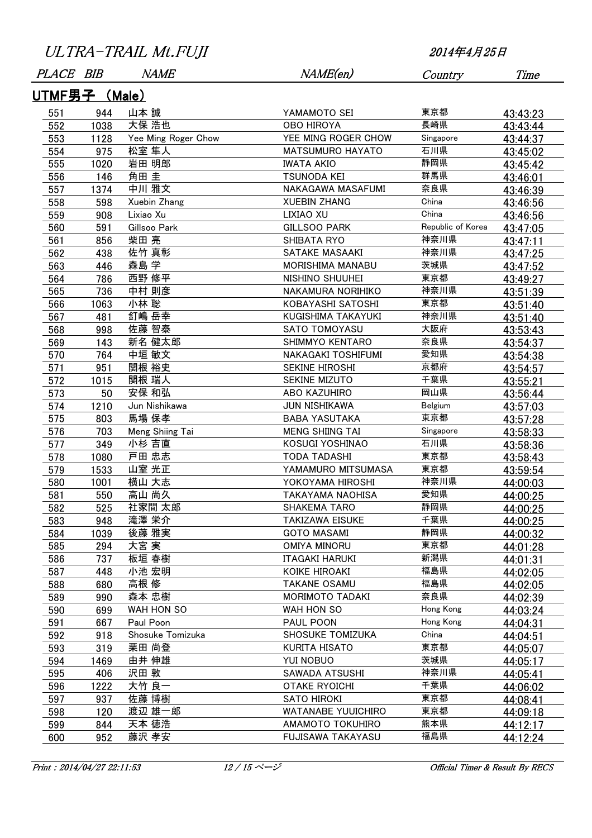| PLACE BIB     |      | <i>NAME</i>         | NAME(en)                | Country           | Time     |  |
|---------------|------|---------------------|-------------------------|-------------------|----------|--|
| UTMF男子 (Male) |      |                     |                         |                   |          |  |
| 551           | 944  | 山本 誠                | YAMAMOTO SEI            | 東京都               | 43:43:23 |  |
| 552           | 1038 | 大保 浩也               | <b>OBO HIROYA</b>       | 長崎県               | 43:43:44 |  |
| 553           | 1128 | Yee Ming Roger Chow | YEE MING ROGER CHOW     | Singapore         | 43:44:37 |  |
| 554           | 975  | 松室 隼人               | <b>MATSUMURO HAYATO</b> | 石川県               | 43:45:02 |  |
| 555           | 1020 | 岩田 明郎               | <b>IWATA AKIO</b>       | 静岡県               | 43:45:42 |  |
| 556           | 146  | 角田 圭                | <b>TSUNODA KEI</b>      | 群馬県               | 43:46:01 |  |
| 557           | 1374 | 中川 雅文               | NAKAGAWA MASAFUMI       | 奈良県               | 43:46:39 |  |
| 558           | 598  | Xuebin Zhang        | <b>XUEBIN ZHANG</b>     | China             | 43:46:56 |  |
| 559           | 908  | Lixiao Xu           | LIXIAO XU               | China             | 43:46:56 |  |
| 560           | 591  | Gillsoo Park        | <b>GILLSOO PARK</b>     | Republic of Korea | 43:47:05 |  |
| 561           | 856  | 柴田 亮                | SHIBATA RYO             | 神奈川県              | 43:47:11 |  |
| 562           | 438  | 佐竹 真彰               | SATAKE MASAAKI          | 神奈川県              | 43:47:25 |  |
| 563           | 446  | 森島 学                | MORISHIMA MANABU        | 茨城県               | 43:47:52 |  |
| 564           | 786  | 西野 修平               | NISHINO SHUUHEI         | 東京都               | 43:49:27 |  |
| 565           | 736  | 中村 則彦               | NAKAMURA NORIHIKO       | 神奈川県              | 43:51:39 |  |
| 566           | 1063 | 小林 聡                | KOBAYASHI SATOSHI       | 東京都               | 43:51:40 |  |
| 567           | 481  | 釘嶋 岳幸               | KUGISHIMA TAKAYUKI      | 神奈川県              | 43:51:40 |  |
| 568           | 998  | 佐藤 智泰               | <b>SATO TOMOYASU</b>    | 大阪府               | 43:53:43 |  |
| 569           | 143  | 新名 健太郎              | SHIMMYO KENTARO         | 奈良県               | 43:54:37 |  |
| 570           | 764  | 中垣 敏文               | NAKAGAKI TOSHIFUMI      | 愛知県               | 43:54:38 |  |
| 571           | 951  | 関根 裕史               | SEKINE HIROSHI          | 京都府               | 43:54:57 |  |
| 572           | 1015 | 関根 瑞人               | SEKINE MIZUTO           | 千葉県               | 43:55:21 |  |
| 573           | 50   | 安保 和弘               | ABO KAZUHIRO            | 岡山県               | 43:56:44 |  |
| 574           | 1210 | Jun Nishikawa       | JUN NISHIKAWA           | Belgium           | 43:57:03 |  |
| 575           | 803  | 馬場 保孝               | <b>BABA YASUTAKA</b>    | 東京都               | 43:57:28 |  |
| 576           | 703  | Meng Shiing Tai     | <b>MENG SHIING TAI</b>  | Singapore         | 43:58:33 |  |
| 577           | 349  | 小杉 吉直               | KOSUGI YOSHINAO         | 石川県               | 43:58:36 |  |
| 578           | 1080 | 戸田 忠志               | <b>TODA TADASHI</b>     | 東京都               | 43:58:43 |  |
| 579           | 1533 | 山室 光正               | YAMAMURO MITSUMASA      | 東京都               | 43:59:54 |  |
| 580           | 1001 | 横山 大志               | YOKOYAMA HIROSHI        | 神奈川県              | 44:00:03 |  |
| 581           | 550  | 高山 尚久               | <b>TAKAYAMA NAOHISA</b> | 愛知県               | 44:00:25 |  |
| 582           | 525  | 社家間 太郎              | <b>SHAKEMA TARO</b>     | 静岡県               | 44:00:25 |  |
| 583           | 948  | 滝澤 栄介               | <b>TAKIZAWA EISUKE</b>  | 千葉県               | 44:00:25 |  |
| 584           | 1039 | 後藤 雅実               | <b>GOTO MASAMI</b>      | 静岡県               | 44:00:32 |  |
| 585           | 294  | 大宮 実                | OMIYA MINORU            | 東京都               | 44:01:28 |  |
| 586           | 737  | 板垣 春樹               | <b>ITAGAKI HARUKI</b>   | 新潟県               | 44:01:31 |  |
| 587           | 448  | 小池 宏明               | KOIKE HIROAKI           | 福島県               | 44:02:05 |  |
| 588           | 680  | 高根 修                | <b>TAKANE OSAMU</b>     | 福島県               | 44:02:05 |  |
| 589           | 990  | 森本 忠樹               | <b>MORIMOTO TADAKI</b>  | 奈良県               | 44:02:39 |  |
| 590           | 699  | WAH HON SO          | WAH HON SO              | Hong Kong         | 44:03:24 |  |
| 591           | 667  | Paul Poon           | PAUL POON               | Hong Kong         | 44:04:31 |  |
| 592           | 918  | Shosuke Tomizuka    | SHOSUKE TOMIZUKA        | China             | 44:04:51 |  |
| 593           | 319  | 栗田 尚登               | <b>KURITA HISATO</b>    | 東京都               | 44:05:07 |  |
| 594           | 1469 | 由井 伸雄               | YUI NOBUO               | 茨城県               | 44:05:17 |  |
| 595           | 406  | 沢田 敦                | SAWADA ATSUSHI          | 神奈川県              | 44:05:41 |  |
| 596           | 1222 | 大竹 良一               | <b>OTAKE RYOICHI</b>    | 千葉県               | 44:06:02 |  |
| 597           | 937  | 佐藤 博樹               | <b>SATO HIROKI</b>      | 東京都               | 44:08:41 |  |
| 598           | 120  | 渡辺 雄一郎              | WATANABE YUUICHIRO      | 東京都               | 44:09:18 |  |
| 599           | 844  | 天本 徳浩               | AMAMOTO TOKUHIRO        | 熊本県               | 44:12:17 |  |
| 600           | 952  | 藤沢 孝安               | FUJISAWA TAKAYASU       | 福島県               | 44:12:24 |  |
|               |      |                     |                         |                   |          |  |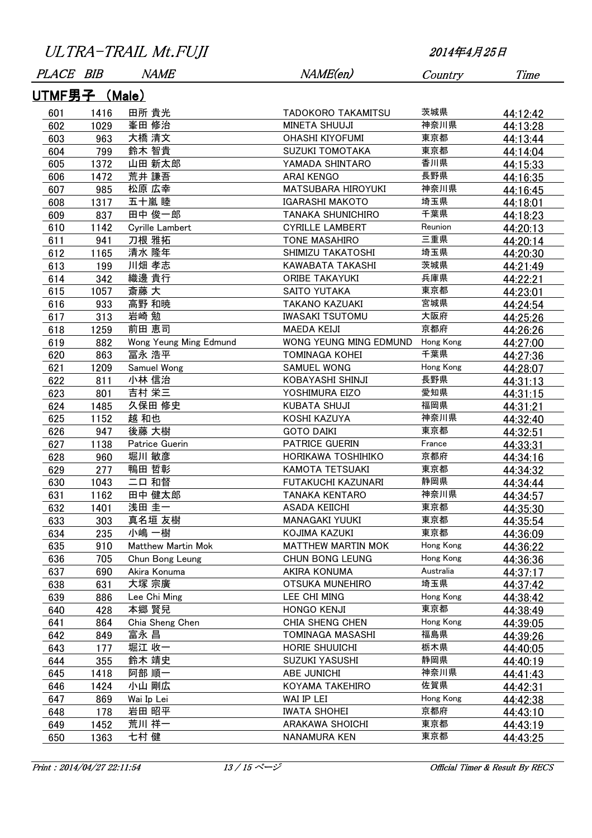| <u>UTMF男子 (Male)</u><br>茨城県<br>田所 貴光<br>601<br>1416<br>TADOKORO TAKAMITSU<br>44:12:42<br>峯田 修治<br>神奈川県<br>602<br>MINETA SHUUJI<br>1029<br>44:13:28<br>大橋 清文<br>東京都<br>603<br><b>OHASHI KIYOFUMI</b><br>963<br>44:13:44<br>東京都<br>604<br>鈴木 智貴<br><b>SUZUKI TOMOTAKA</b><br>799<br>44:14:04<br>香川県<br>山田 新太郎<br>YAMADA SHINTARO<br>605<br>1372<br>44:15:33<br>荒井 謙吾<br>長野県<br><b>ARAI KENGO</b><br>606<br>1472<br>44:16:35<br>松原 広幸<br>神奈川県<br><b>MATSUBARA HIROYUKI</b><br>607<br>985<br>44:16:45<br>埼玉県<br>五十嵐 睦<br>608<br><b>IGARASHI MAKOTO</b><br>1317<br>44:18:01<br>千葉県<br>田中 俊一郎<br>609<br>837<br>TANAKA SHUNICHIRO<br>44:18:23<br>610<br>Reunion<br>Cyrille Lambert<br><b>CYRILLE LAMBERT</b><br>1142<br>44:20:13<br>三重県<br>刀根 雅拓<br>611<br>941<br><b>TONE MASAHIRO</b><br>44:20:14<br>清水 隆年<br>埼玉県<br>612<br>SHIMIZU TAKATOSHI<br>1165<br>44:20:30<br>川畑 孝志<br>茨城県<br>613<br>KAWABATA TAKASHI<br>199<br>44:21:49<br>織邊 貴行<br>兵庫県<br>ORIBE TAKAYUKI<br>614<br>342<br>44:22:21<br>斎藤 大<br>東京都<br>615<br>1057<br>SAITO YUTAKA<br>44:23:01<br>高野 和暁<br>宮城県<br><b>TAKANO KAZUAKI</b><br>616<br>933<br>44:24:54<br>岩崎 勉<br>大阪府<br>617<br>313<br><b>IWASAKI TSUTOMU</b><br>44:25:26<br>前田 恵司<br>京都府<br>618<br>1259<br><b>MAEDA KEIJI</b><br>44:26:26<br>619<br>Wong Yeung Ming Edmund<br>WONG YEUNG MING EDMUND<br>Hong Kong<br>882<br>44:27:00<br>千葉県<br>冨永 浩平<br>620<br><b>TOMINAGA KOHEI</b><br>863<br>44:27:36<br><b>SAMUEL WONG</b><br>Hong Kong<br>Samuel Wong<br>621<br>1209<br>44:28:07<br>長野県<br>622<br>小林 信治<br>811<br>KOBAYASHI SHINJI<br>44:31:13<br>愛知県<br>吉村 栄三<br>623<br>YOSHIMURA EIZO<br>801<br>44:31:15<br>福岡県<br>久保田 修史<br>624<br>KUBATA SHUJI<br>1485<br>44:31:21<br>神奈川県<br>625<br>越 和也<br>1152<br>KOSHI KAZUYA<br>44:32:40<br>後藤 大樹<br>東京都<br>626<br><b>GOTO DAIKI</b><br>947<br>44:32:51<br>PATRICE GUERIN<br>France<br>627<br>Patrice Guerin<br>1138<br>44:33:31<br>京都府<br>堀川 敏彦<br>628<br>HORIKAWA TOSHIHIKO<br>960<br>44:34:16<br>東京都<br>鴨田 哲彰<br>629<br>277<br><b>KAMOTA TETSUAKI</b><br>44:34:32<br>静岡県<br>二口 和督<br>630<br>1043<br>FUTAKUCHI KAZUNARI<br>44:34:44<br>神奈川県<br>田中 健太郎<br>631<br>1162<br>TANAKA KENTARO<br>44:34:57<br>東京都<br>浅田 圭一<br>632<br>1401<br><b>ASADA KEIICHI</b><br>44:35:30<br>真名垣 友樹<br>東京都<br>633<br>303<br>MANAGAKI YUUKI<br>44:35:54<br>東京都<br>小嶋 一樹<br>KOJIMA KAZUKI<br>634<br>235<br>44:36:09<br>Hong Kong<br>635<br>Matthew Martin Mok<br><b>MATTHEW MARTIN MOK</b><br>910<br>44:36:22<br>Hong Kong<br>636<br>705<br>Chun Bong Leung<br>CHUN BONG LEUNG<br>44:36:36<br>Australia<br>637<br>690<br>Akira Konuma<br>AKIRA KONUMA<br>44:37:17<br>埼玉県<br>大塚 宗廣<br>638<br>631<br>OTSUKA MUNEHIRO<br>44:37:42<br>639<br>886<br>Lee Chi Ming<br>LEE CHI MING<br>Hong Kong<br>44:38:42<br>東京都<br>本郷 賢兒<br><b>HONGO KENJI</b><br>640<br>428<br>44:38:49<br>Chia Sheng Chen<br>CHIA SHENG CHEN<br>Hong Kong<br>641<br>864<br>44:39:05<br>福島県<br>富永 昌<br><b>TOMINAGA MASASHI</b><br>642<br>849<br>44:39:26<br>栃木県<br>堀江 收一<br>HORIE SHUUICHI<br>643<br>177<br>44:40:05<br>静岡県<br>鈴木 靖史<br>SUZUKI YASUSHI<br>644<br>355<br>44:40:19<br>神奈川県<br>阿部 順一<br>645<br>1418<br>ABE JUNICHI<br>44:41:43<br>佐賀県<br>小山 剛広<br>646<br>KOYAMA TAKEHIRO<br>1424<br>44:42:31<br>Wai Ip Lei<br>WAI IP LEI<br>Hong Kong<br>647<br>869<br>44:42:38<br>岩田 昭平<br>京都府<br>648<br><b>IWATA SHOHEI</b><br>178<br>44:43:10 | PLACE BIB |      | <i>NAME</i> | NAME(en)        | Country | Time     |
|---------------------------------------------------------------------------------------------------------------------------------------------------------------------------------------------------------------------------------------------------------------------------------------------------------------------------------------------------------------------------------------------------------------------------------------------------------------------------------------------------------------------------------------------------------------------------------------------------------------------------------------------------------------------------------------------------------------------------------------------------------------------------------------------------------------------------------------------------------------------------------------------------------------------------------------------------------------------------------------------------------------------------------------------------------------------------------------------------------------------------------------------------------------------------------------------------------------------------------------------------------------------------------------------------------------------------------------------------------------------------------------------------------------------------------------------------------------------------------------------------------------------------------------------------------------------------------------------------------------------------------------------------------------------------------------------------------------------------------------------------------------------------------------------------------------------------------------------------------------------------------------------------------------------------------------------------------------------------------------------------------------------------------------------------------------------------------------------------------------------------------------------------------------------------------------------------------------------------------------------------------------------------------------------------------------------------------------------------------------------------------------------------------------------------------------------------------------------------------------------------------------------------------------------------------------------------------------------------------------------------------------------------------------------------------------------------------------------------------------------------------------------------------------------------------------------------------------------------------------------------------------------------------------------------------------------------------------------------------------------------------------------------------------------------------------------------------------------------------------------------------------------------------------------------------------------------------------------------------------------------------------------------------------------------------------------------------------------------|-----------|------|-------------|-----------------|---------|----------|
|                                                                                                                                                                                                                                                                                                                                                                                                                                                                                                                                                                                                                                                                                                                                                                                                                                                                                                                                                                                                                                                                                                                                                                                                                                                                                                                                                                                                                                                                                                                                                                                                                                                                                                                                                                                                                                                                                                                                                                                                                                                                                                                                                                                                                                                                                                                                                                                                                                                                                                                                                                                                                                                                                                                                                                                                                                                                                                                                                                                                                                                                                                                                                                                                                                                                                                                                                   |           |      |             |                 |         |          |
|                                                                                                                                                                                                                                                                                                                                                                                                                                                                                                                                                                                                                                                                                                                                                                                                                                                                                                                                                                                                                                                                                                                                                                                                                                                                                                                                                                                                                                                                                                                                                                                                                                                                                                                                                                                                                                                                                                                                                                                                                                                                                                                                                                                                                                                                                                                                                                                                                                                                                                                                                                                                                                                                                                                                                                                                                                                                                                                                                                                                                                                                                                                                                                                                                                                                                                                                                   |           |      |             |                 |         |          |
|                                                                                                                                                                                                                                                                                                                                                                                                                                                                                                                                                                                                                                                                                                                                                                                                                                                                                                                                                                                                                                                                                                                                                                                                                                                                                                                                                                                                                                                                                                                                                                                                                                                                                                                                                                                                                                                                                                                                                                                                                                                                                                                                                                                                                                                                                                                                                                                                                                                                                                                                                                                                                                                                                                                                                                                                                                                                                                                                                                                                                                                                                                                                                                                                                                                                                                                                                   |           |      |             |                 |         |          |
|                                                                                                                                                                                                                                                                                                                                                                                                                                                                                                                                                                                                                                                                                                                                                                                                                                                                                                                                                                                                                                                                                                                                                                                                                                                                                                                                                                                                                                                                                                                                                                                                                                                                                                                                                                                                                                                                                                                                                                                                                                                                                                                                                                                                                                                                                                                                                                                                                                                                                                                                                                                                                                                                                                                                                                                                                                                                                                                                                                                                                                                                                                                                                                                                                                                                                                                                                   |           |      |             |                 |         |          |
|                                                                                                                                                                                                                                                                                                                                                                                                                                                                                                                                                                                                                                                                                                                                                                                                                                                                                                                                                                                                                                                                                                                                                                                                                                                                                                                                                                                                                                                                                                                                                                                                                                                                                                                                                                                                                                                                                                                                                                                                                                                                                                                                                                                                                                                                                                                                                                                                                                                                                                                                                                                                                                                                                                                                                                                                                                                                                                                                                                                                                                                                                                                                                                                                                                                                                                                                                   |           |      |             |                 |         |          |
|                                                                                                                                                                                                                                                                                                                                                                                                                                                                                                                                                                                                                                                                                                                                                                                                                                                                                                                                                                                                                                                                                                                                                                                                                                                                                                                                                                                                                                                                                                                                                                                                                                                                                                                                                                                                                                                                                                                                                                                                                                                                                                                                                                                                                                                                                                                                                                                                                                                                                                                                                                                                                                                                                                                                                                                                                                                                                                                                                                                                                                                                                                                                                                                                                                                                                                                                                   |           |      |             |                 |         |          |
|                                                                                                                                                                                                                                                                                                                                                                                                                                                                                                                                                                                                                                                                                                                                                                                                                                                                                                                                                                                                                                                                                                                                                                                                                                                                                                                                                                                                                                                                                                                                                                                                                                                                                                                                                                                                                                                                                                                                                                                                                                                                                                                                                                                                                                                                                                                                                                                                                                                                                                                                                                                                                                                                                                                                                                                                                                                                                                                                                                                                                                                                                                                                                                                                                                                                                                                                                   |           |      |             |                 |         |          |
|                                                                                                                                                                                                                                                                                                                                                                                                                                                                                                                                                                                                                                                                                                                                                                                                                                                                                                                                                                                                                                                                                                                                                                                                                                                                                                                                                                                                                                                                                                                                                                                                                                                                                                                                                                                                                                                                                                                                                                                                                                                                                                                                                                                                                                                                                                                                                                                                                                                                                                                                                                                                                                                                                                                                                                                                                                                                                                                                                                                                                                                                                                                                                                                                                                                                                                                                                   |           |      |             |                 |         |          |
|                                                                                                                                                                                                                                                                                                                                                                                                                                                                                                                                                                                                                                                                                                                                                                                                                                                                                                                                                                                                                                                                                                                                                                                                                                                                                                                                                                                                                                                                                                                                                                                                                                                                                                                                                                                                                                                                                                                                                                                                                                                                                                                                                                                                                                                                                                                                                                                                                                                                                                                                                                                                                                                                                                                                                                                                                                                                                                                                                                                                                                                                                                                                                                                                                                                                                                                                                   |           |      |             |                 |         |          |
|                                                                                                                                                                                                                                                                                                                                                                                                                                                                                                                                                                                                                                                                                                                                                                                                                                                                                                                                                                                                                                                                                                                                                                                                                                                                                                                                                                                                                                                                                                                                                                                                                                                                                                                                                                                                                                                                                                                                                                                                                                                                                                                                                                                                                                                                                                                                                                                                                                                                                                                                                                                                                                                                                                                                                                                                                                                                                                                                                                                                                                                                                                                                                                                                                                                                                                                                                   |           |      |             |                 |         |          |
|                                                                                                                                                                                                                                                                                                                                                                                                                                                                                                                                                                                                                                                                                                                                                                                                                                                                                                                                                                                                                                                                                                                                                                                                                                                                                                                                                                                                                                                                                                                                                                                                                                                                                                                                                                                                                                                                                                                                                                                                                                                                                                                                                                                                                                                                                                                                                                                                                                                                                                                                                                                                                                                                                                                                                                                                                                                                                                                                                                                                                                                                                                                                                                                                                                                                                                                                                   |           |      |             |                 |         |          |
|                                                                                                                                                                                                                                                                                                                                                                                                                                                                                                                                                                                                                                                                                                                                                                                                                                                                                                                                                                                                                                                                                                                                                                                                                                                                                                                                                                                                                                                                                                                                                                                                                                                                                                                                                                                                                                                                                                                                                                                                                                                                                                                                                                                                                                                                                                                                                                                                                                                                                                                                                                                                                                                                                                                                                                                                                                                                                                                                                                                                                                                                                                                                                                                                                                                                                                                                                   |           |      |             |                 |         |          |
|                                                                                                                                                                                                                                                                                                                                                                                                                                                                                                                                                                                                                                                                                                                                                                                                                                                                                                                                                                                                                                                                                                                                                                                                                                                                                                                                                                                                                                                                                                                                                                                                                                                                                                                                                                                                                                                                                                                                                                                                                                                                                                                                                                                                                                                                                                                                                                                                                                                                                                                                                                                                                                                                                                                                                                                                                                                                                                                                                                                                                                                                                                                                                                                                                                                                                                                                                   |           |      |             |                 |         |          |
|                                                                                                                                                                                                                                                                                                                                                                                                                                                                                                                                                                                                                                                                                                                                                                                                                                                                                                                                                                                                                                                                                                                                                                                                                                                                                                                                                                                                                                                                                                                                                                                                                                                                                                                                                                                                                                                                                                                                                                                                                                                                                                                                                                                                                                                                                                                                                                                                                                                                                                                                                                                                                                                                                                                                                                                                                                                                                                                                                                                                                                                                                                                                                                                                                                                                                                                                                   |           |      |             |                 |         |          |
|                                                                                                                                                                                                                                                                                                                                                                                                                                                                                                                                                                                                                                                                                                                                                                                                                                                                                                                                                                                                                                                                                                                                                                                                                                                                                                                                                                                                                                                                                                                                                                                                                                                                                                                                                                                                                                                                                                                                                                                                                                                                                                                                                                                                                                                                                                                                                                                                                                                                                                                                                                                                                                                                                                                                                                                                                                                                                                                                                                                                                                                                                                                                                                                                                                                                                                                                                   |           |      |             |                 |         |          |
|                                                                                                                                                                                                                                                                                                                                                                                                                                                                                                                                                                                                                                                                                                                                                                                                                                                                                                                                                                                                                                                                                                                                                                                                                                                                                                                                                                                                                                                                                                                                                                                                                                                                                                                                                                                                                                                                                                                                                                                                                                                                                                                                                                                                                                                                                                                                                                                                                                                                                                                                                                                                                                                                                                                                                                                                                                                                                                                                                                                                                                                                                                                                                                                                                                                                                                                                                   |           |      |             |                 |         |          |
|                                                                                                                                                                                                                                                                                                                                                                                                                                                                                                                                                                                                                                                                                                                                                                                                                                                                                                                                                                                                                                                                                                                                                                                                                                                                                                                                                                                                                                                                                                                                                                                                                                                                                                                                                                                                                                                                                                                                                                                                                                                                                                                                                                                                                                                                                                                                                                                                                                                                                                                                                                                                                                                                                                                                                                                                                                                                                                                                                                                                                                                                                                                                                                                                                                                                                                                                                   |           |      |             |                 |         |          |
|                                                                                                                                                                                                                                                                                                                                                                                                                                                                                                                                                                                                                                                                                                                                                                                                                                                                                                                                                                                                                                                                                                                                                                                                                                                                                                                                                                                                                                                                                                                                                                                                                                                                                                                                                                                                                                                                                                                                                                                                                                                                                                                                                                                                                                                                                                                                                                                                                                                                                                                                                                                                                                                                                                                                                                                                                                                                                                                                                                                                                                                                                                                                                                                                                                                                                                                                                   |           |      |             |                 |         |          |
|                                                                                                                                                                                                                                                                                                                                                                                                                                                                                                                                                                                                                                                                                                                                                                                                                                                                                                                                                                                                                                                                                                                                                                                                                                                                                                                                                                                                                                                                                                                                                                                                                                                                                                                                                                                                                                                                                                                                                                                                                                                                                                                                                                                                                                                                                                                                                                                                                                                                                                                                                                                                                                                                                                                                                                                                                                                                                                                                                                                                                                                                                                                                                                                                                                                                                                                                                   |           |      |             |                 |         |          |
|                                                                                                                                                                                                                                                                                                                                                                                                                                                                                                                                                                                                                                                                                                                                                                                                                                                                                                                                                                                                                                                                                                                                                                                                                                                                                                                                                                                                                                                                                                                                                                                                                                                                                                                                                                                                                                                                                                                                                                                                                                                                                                                                                                                                                                                                                                                                                                                                                                                                                                                                                                                                                                                                                                                                                                                                                                                                                                                                                                                                                                                                                                                                                                                                                                                                                                                                                   |           |      |             |                 |         |          |
|                                                                                                                                                                                                                                                                                                                                                                                                                                                                                                                                                                                                                                                                                                                                                                                                                                                                                                                                                                                                                                                                                                                                                                                                                                                                                                                                                                                                                                                                                                                                                                                                                                                                                                                                                                                                                                                                                                                                                                                                                                                                                                                                                                                                                                                                                                                                                                                                                                                                                                                                                                                                                                                                                                                                                                                                                                                                                                                                                                                                                                                                                                                                                                                                                                                                                                                                                   |           |      |             |                 |         |          |
|                                                                                                                                                                                                                                                                                                                                                                                                                                                                                                                                                                                                                                                                                                                                                                                                                                                                                                                                                                                                                                                                                                                                                                                                                                                                                                                                                                                                                                                                                                                                                                                                                                                                                                                                                                                                                                                                                                                                                                                                                                                                                                                                                                                                                                                                                                                                                                                                                                                                                                                                                                                                                                                                                                                                                                                                                                                                                                                                                                                                                                                                                                                                                                                                                                                                                                                                                   |           |      |             |                 |         |          |
|                                                                                                                                                                                                                                                                                                                                                                                                                                                                                                                                                                                                                                                                                                                                                                                                                                                                                                                                                                                                                                                                                                                                                                                                                                                                                                                                                                                                                                                                                                                                                                                                                                                                                                                                                                                                                                                                                                                                                                                                                                                                                                                                                                                                                                                                                                                                                                                                                                                                                                                                                                                                                                                                                                                                                                                                                                                                                                                                                                                                                                                                                                                                                                                                                                                                                                                                                   |           |      |             |                 |         |          |
|                                                                                                                                                                                                                                                                                                                                                                                                                                                                                                                                                                                                                                                                                                                                                                                                                                                                                                                                                                                                                                                                                                                                                                                                                                                                                                                                                                                                                                                                                                                                                                                                                                                                                                                                                                                                                                                                                                                                                                                                                                                                                                                                                                                                                                                                                                                                                                                                                                                                                                                                                                                                                                                                                                                                                                                                                                                                                                                                                                                                                                                                                                                                                                                                                                                                                                                                                   |           |      |             |                 |         |          |
|                                                                                                                                                                                                                                                                                                                                                                                                                                                                                                                                                                                                                                                                                                                                                                                                                                                                                                                                                                                                                                                                                                                                                                                                                                                                                                                                                                                                                                                                                                                                                                                                                                                                                                                                                                                                                                                                                                                                                                                                                                                                                                                                                                                                                                                                                                                                                                                                                                                                                                                                                                                                                                                                                                                                                                                                                                                                                                                                                                                                                                                                                                                                                                                                                                                                                                                                                   |           |      |             |                 |         |          |
|                                                                                                                                                                                                                                                                                                                                                                                                                                                                                                                                                                                                                                                                                                                                                                                                                                                                                                                                                                                                                                                                                                                                                                                                                                                                                                                                                                                                                                                                                                                                                                                                                                                                                                                                                                                                                                                                                                                                                                                                                                                                                                                                                                                                                                                                                                                                                                                                                                                                                                                                                                                                                                                                                                                                                                                                                                                                                                                                                                                                                                                                                                                                                                                                                                                                                                                                                   |           |      |             |                 |         |          |
|                                                                                                                                                                                                                                                                                                                                                                                                                                                                                                                                                                                                                                                                                                                                                                                                                                                                                                                                                                                                                                                                                                                                                                                                                                                                                                                                                                                                                                                                                                                                                                                                                                                                                                                                                                                                                                                                                                                                                                                                                                                                                                                                                                                                                                                                                                                                                                                                                                                                                                                                                                                                                                                                                                                                                                                                                                                                                                                                                                                                                                                                                                                                                                                                                                                                                                                                                   |           |      |             |                 |         |          |
|                                                                                                                                                                                                                                                                                                                                                                                                                                                                                                                                                                                                                                                                                                                                                                                                                                                                                                                                                                                                                                                                                                                                                                                                                                                                                                                                                                                                                                                                                                                                                                                                                                                                                                                                                                                                                                                                                                                                                                                                                                                                                                                                                                                                                                                                                                                                                                                                                                                                                                                                                                                                                                                                                                                                                                                                                                                                                                                                                                                                                                                                                                                                                                                                                                                                                                                                                   |           |      |             |                 |         |          |
|                                                                                                                                                                                                                                                                                                                                                                                                                                                                                                                                                                                                                                                                                                                                                                                                                                                                                                                                                                                                                                                                                                                                                                                                                                                                                                                                                                                                                                                                                                                                                                                                                                                                                                                                                                                                                                                                                                                                                                                                                                                                                                                                                                                                                                                                                                                                                                                                                                                                                                                                                                                                                                                                                                                                                                                                                                                                                                                                                                                                                                                                                                                                                                                                                                                                                                                                                   |           |      |             |                 |         |          |
|                                                                                                                                                                                                                                                                                                                                                                                                                                                                                                                                                                                                                                                                                                                                                                                                                                                                                                                                                                                                                                                                                                                                                                                                                                                                                                                                                                                                                                                                                                                                                                                                                                                                                                                                                                                                                                                                                                                                                                                                                                                                                                                                                                                                                                                                                                                                                                                                                                                                                                                                                                                                                                                                                                                                                                                                                                                                                                                                                                                                                                                                                                                                                                                                                                                                                                                                                   |           |      |             |                 |         |          |
|                                                                                                                                                                                                                                                                                                                                                                                                                                                                                                                                                                                                                                                                                                                                                                                                                                                                                                                                                                                                                                                                                                                                                                                                                                                                                                                                                                                                                                                                                                                                                                                                                                                                                                                                                                                                                                                                                                                                                                                                                                                                                                                                                                                                                                                                                                                                                                                                                                                                                                                                                                                                                                                                                                                                                                                                                                                                                                                                                                                                                                                                                                                                                                                                                                                                                                                                                   |           |      |             |                 |         |          |
|                                                                                                                                                                                                                                                                                                                                                                                                                                                                                                                                                                                                                                                                                                                                                                                                                                                                                                                                                                                                                                                                                                                                                                                                                                                                                                                                                                                                                                                                                                                                                                                                                                                                                                                                                                                                                                                                                                                                                                                                                                                                                                                                                                                                                                                                                                                                                                                                                                                                                                                                                                                                                                                                                                                                                                                                                                                                                                                                                                                                                                                                                                                                                                                                                                                                                                                                                   |           |      |             |                 |         |          |
|                                                                                                                                                                                                                                                                                                                                                                                                                                                                                                                                                                                                                                                                                                                                                                                                                                                                                                                                                                                                                                                                                                                                                                                                                                                                                                                                                                                                                                                                                                                                                                                                                                                                                                                                                                                                                                                                                                                                                                                                                                                                                                                                                                                                                                                                                                                                                                                                                                                                                                                                                                                                                                                                                                                                                                                                                                                                                                                                                                                                                                                                                                                                                                                                                                                                                                                                                   |           |      |             |                 |         |          |
|                                                                                                                                                                                                                                                                                                                                                                                                                                                                                                                                                                                                                                                                                                                                                                                                                                                                                                                                                                                                                                                                                                                                                                                                                                                                                                                                                                                                                                                                                                                                                                                                                                                                                                                                                                                                                                                                                                                                                                                                                                                                                                                                                                                                                                                                                                                                                                                                                                                                                                                                                                                                                                                                                                                                                                                                                                                                                                                                                                                                                                                                                                                                                                                                                                                                                                                                                   |           |      |             |                 |         |          |
|                                                                                                                                                                                                                                                                                                                                                                                                                                                                                                                                                                                                                                                                                                                                                                                                                                                                                                                                                                                                                                                                                                                                                                                                                                                                                                                                                                                                                                                                                                                                                                                                                                                                                                                                                                                                                                                                                                                                                                                                                                                                                                                                                                                                                                                                                                                                                                                                                                                                                                                                                                                                                                                                                                                                                                                                                                                                                                                                                                                                                                                                                                                                                                                                                                                                                                                                                   |           |      |             |                 |         |          |
|                                                                                                                                                                                                                                                                                                                                                                                                                                                                                                                                                                                                                                                                                                                                                                                                                                                                                                                                                                                                                                                                                                                                                                                                                                                                                                                                                                                                                                                                                                                                                                                                                                                                                                                                                                                                                                                                                                                                                                                                                                                                                                                                                                                                                                                                                                                                                                                                                                                                                                                                                                                                                                                                                                                                                                                                                                                                                                                                                                                                                                                                                                                                                                                                                                                                                                                                                   |           |      |             |                 |         |          |
|                                                                                                                                                                                                                                                                                                                                                                                                                                                                                                                                                                                                                                                                                                                                                                                                                                                                                                                                                                                                                                                                                                                                                                                                                                                                                                                                                                                                                                                                                                                                                                                                                                                                                                                                                                                                                                                                                                                                                                                                                                                                                                                                                                                                                                                                                                                                                                                                                                                                                                                                                                                                                                                                                                                                                                                                                                                                                                                                                                                                                                                                                                                                                                                                                                                                                                                                                   |           |      |             |                 |         |          |
|                                                                                                                                                                                                                                                                                                                                                                                                                                                                                                                                                                                                                                                                                                                                                                                                                                                                                                                                                                                                                                                                                                                                                                                                                                                                                                                                                                                                                                                                                                                                                                                                                                                                                                                                                                                                                                                                                                                                                                                                                                                                                                                                                                                                                                                                                                                                                                                                                                                                                                                                                                                                                                                                                                                                                                                                                                                                                                                                                                                                                                                                                                                                                                                                                                                                                                                                                   |           |      |             |                 |         |          |
|                                                                                                                                                                                                                                                                                                                                                                                                                                                                                                                                                                                                                                                                                                                                                                                                                                                                                                                                                                                                                                                                                                                                                                                                                                                                                                                                                                                                                                                                                                                                                                                                                                                                                                                                                                                                                                                                                                                                                                                                                                                                                                                                                                                                                                                                                                                                                                                                                                                                                                                                                                                                                                                                                                                                                                                                                                                                                                                                                                                                                                                                                                                                                                                                                                                                                                                                                   |           |      |             |                 |         |          |
|                                                                                                                                                                                                                                                                                                                                                                                                                                                                                                                                                                                                                                                                                                                                                                                                                                                                                                                                                                                                                                                                                                                                                                                                                                                                                                                                                                                                                                                                                                                                                                                                                                                                                                                                                                                                                                                                                                                                                                                                                                                                                                                                                                                                                                                                                                                                                                                                                                                                                                                                                                                                                                                                                                                                                                                                                                                                                                                                                                                                                                                                                                                                                                                                                                                                                                                                                   |           |      |             |                 |         |          |
|                                                                                                                                                                                                                                                                                                                                                                                                                                                                                                                                                                                                                                                                                                                                                                                                                                                                                                                                                                                                                                                                                                                                                                                                                                                                                                                                                                                                                                                                                                                                                                                                                                                                                                                                                                                                                                                                                                                                                                                                                                                                                                                                                                                                                                                                                                                                                                                                                                                                                                                                                                                                                                                                                                                                                                                                                                                                                                                                                                                                                                                                                                                                                                                                                                                                                                                                                   |           |      |             |                 |         |          |
|                                                                                                                                                                                                                                                                                                                                                                                                                                                                                                                                                                                                                                                                                                                                                                                                                                                                                                                                                                                                                                                                                                                                                                                                                                                                                                                                                                                                                                                                                                                                                                                                                                                                                                                                                                                                                                                                                                                                                                                                                                                                                                                                                                                                                                                                                                                                                                                                                                                                                                                                                                                                                                                                                                                                                                                                                                                                                                                                                                                                                                                                                                                                                                                                                                                                                                                                                   |           |      |             |                 |         |          |
|                                                                                                                                                                                                                                                                                                                                                                                                                                                                                                                                                                                                                                                                                                                                                                                                                                                                                                                                                                                                                                                                                                                                                                                                                                                                                                                                                                                                                                                                                                                                                                                                                                                                                                                                                                                                                                                                                                                                                                                                                                                                                                                                                                                                                                                                                                                                                                                                                                                                                                                                                                                                                                                                                                                                                                                                                                                                                                                                                                                                                                                                                                                                                                                                                                                                                                                                                   |           |      |             |                 |         |          |
|                                                                                                                                                                                                                                                                                                                                                                                                                                                                                                                                                                                                                                                                                                                                                                                                                                                                                                                                                                                                                                                                                                                                                                                                                                                                                                                                                                                                                                                                                                                                                                                                                                                                                                                                                                                                                                                                                                                                                                                                                                                                                                                                                                                                                                                                                                                                                                                                                                                                                                                                                                                                                                                                                                                                                                                                                                                                                                                                                                                                                                                                                                                                                                                                                                                                                                                                                   |           |      |             |                 |         |          |
|                                                                                                                                                                                                                                                                                                                                                                                                                                                                                                                                                                                                                                                                                                                                                                                                                                                                                                                                                                                                                                                                                                                                                                                                                                                                                                                                                                                                                                                                                                                                                                                                                                                                                                                                                                                                                                                                                                                                                                                                                                                                                                                                                                                                                                                                                                                                                                                                                                                                                                                                                                                                                                                                                                                                                                                                                                                                                                                                                                                                                                                                                                                                                                                                                                                                                                                                                   |           |      |             |                 |         |          |
|                                                                                                                                                                                                                                                                                                                                                                                                                                                                                                                                                                                                                                                                                                                                                                                                                                                                                                                                                                                                                                                                                                                                                                                                                                                                                                                                                                                                                                                                                                                                                                                                                                                                                                                                                                                                                                                                                                                                                                                                                                                                                                                                                                                                                                                                                                                                                                                                                                                                                                                                                                                                                                                                                                                                                                                                                                                                                                                                                                                                                                                                                                                                                                                                                                                                                                                                                   |           |      |             |                 |         |          |
|                                                                                                                                                                                                                                                                                                                                                                                                                                                                                                                                                                                                                                                                                                                                                                                                                                                                                                                                                                                                                                                                                                                                                                                                                                                                                                                                                                                                                                                                                                                                                                                                                                                                                                                                                                                                                                                                                                                                                                                                                                                                                                                                                                                                                                                                                                                                                                                                                                                                                                                                                                                                                                                                                                                                                                                                                                                                                                                                                                                                                                                                                                                                                                                                                                                                                                                                                   |           |      |             |                 |         |          |
|                                                                                                                                                                                                                                                                                                                                                                                                                                                                                                                                                                                                                                                                                                                                                                                                                                                                                                                                                                                                                                                                                                                                                                                                                                                                                                                                                                                                                                                                                                                                                                                                                                                                                                                                                                                                                                                                                                                                                                                                                                                                                                                                                                                                                                                                                                                                                                                                                                                                                                                                                                                                                                                                                                                                                                                                                                                                                                                                                                                                                                                                                                                                                                                                                                                                                                                                                   |           |      |             |                 |         |          |
|                                                                                                                                                                                                                                                                                                                                                                                                                                                                                                                                                                                                                                                                                                                                                                                                                                                                                                                                                                                                                                                                                                                                                                                                                                                                                                                                                                                                                                                                                                                                                                                                                                                                                                                                                                                                                                                                                                                                                                                                                                                                                                                                                                                                                                                                                                                                                                                                                                                                                                                                                                                                                                                                                                                                                                                                                                                                                                                                                                                                                                                                                                                                                                                                                                                                                                                                                   |           |      |             |                 |         |          |
|                                                                                                                                                                                                                                                                                                                                                                                                                                                                                                                                                                                                                                                                                                                                                                                                                                                                                                                                                                                                                                                                                                                                                                                                                                                                                                                                                                                                                                                                                                                                                                                                                                                                                                                                                                                                                                                                                                                                                                                                                                                                                                                                                                                                                                                                                                                                                                                                                                                                                                                                                                                                                                                                                                                                                                                                                                                                                                                                                                                                                                                                                                                                                                                                                                                                                                                                                   | 649       | 1452 | 荒川 祥一       | ARAKAWA SHOICHI | 東京都     | 44:43:19 |
| 東京都<br>七村 健<br>650<br>1363<br>NANAMURA KEN<br>44:43:25                                                                                                                                                                                                                                                                                                                                                                                                                                                                                                                                                                                                                                                                                                                                                                                                                                                                                                                                                                                                                                                                                                                                                                                                                                                                                                                                                                                                                                                                                                                                                                                                                                                                                                                                                                                                                                                                                                                                                                                                                                                                                                                                                                                                                                                                                                                                                                                                                                                                                                                                                                                                                                                                                                                                                                                                                                                                                                                                                                                                                                                                                                                                                                                                                                                                                            |           |      |             |                 |         |          |

Print : 2014/04/27 22:11:54 13 / 15 ページ 214 Official Timer & Result By RECS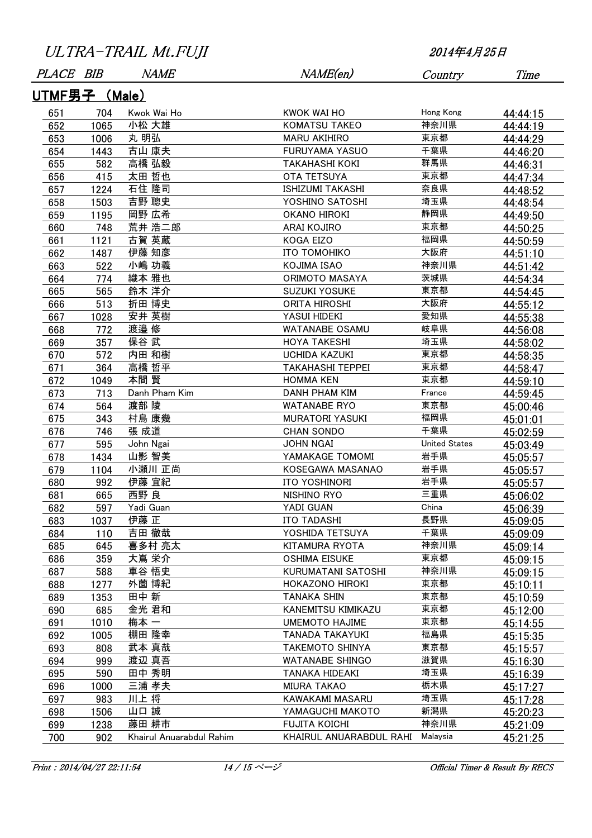| PLACE BIB     |      | <i>NAME</i>              | NAME(en)                  | Country              | Time     |  |
|---------------|------|--------------------------|---------------------------|----------------------|----------|--|
| UTMF男子 (Male) |      |                          |                           |                      |          |  |
| 651           | 704  | Kwok Wai Ho              | KWOK WAI HO               | Hong Kong            | 44:44:15 |  |
| 652           | 1065 | 小松 大雄                    | <b>KOMATSU TAKEO</b>      | 神奈川県                 | 44:44:19 |  |
| 653           | 1006 | 丸 明弘                     | <b>MARU AKIHIRO</b>       | 東京都                  | 44:44:29 |  |
| 654           | 1443 | 古山 康夫                    | <b>FURUYAMA YASUO</b>     | 千葉県                  | 44:46:20 |  |
| 655           | 582  | 高橋 弘毅                    | <b>TAKAHASHI KOKI</b>     | 群馬県                  | 44:46:31 |  |
| 656           | 415  | 太田 哲也                    | <b>OTA TETSUYA</b>        | 東京都                  | 44:47:34 |  |
| 657           | 1224 | 石住 隆司                    | <b>ISHIZUMI TAKASHI</b>   | 奈良県                  | 44:48:52 |  |
| 658           | 1503 | 吉野 聰史                    | YOSHINO SATOSHI           | 埼玉県                  | 44:48:54 |  |
| 659           | 1195 | 岡野 広希                    | <b>OKANO HIROKI</b>       | 静岡県                  | 44:49:50 |  |
| 660           | 748  | 荒井 浩二郎                   | ARAI KOJIRO               | 東京都                  | 44:50:25 |  |
| 661           | 1121 | 古賀 英蔵                    | KOGA EIZO                 | 福岡県                  | 44:50:59 |  |
| 662           | 1487 | 伊藤 知彦                    | ІТО ТОМОНІКО              | 大阪府                  | 44:51:10 |  |
| 663           | 522  | 小嶋 功義                    | KOJIMA ISAO               | 神奈川県                 | 44:51:42 |  |
| 664           | 774  | 織本 雅也                    | ORIMOTO MASAYA            | 茨城県                  | 44:54:34 |  |
| 665           | 565  | 鈴木 洋介                    | <b>SUZUKI YOSUKE</b>      | 東京都                  | 44:54:45 |  |
| 666           | 513  | 折田 博史                    | <b>ORITA HIROSHI</b>      | 大阪府                  | 44:55:12 |  |
| 667           | 1028 | 安井 英樹                    | YASUI HIDEKI              | 愛知県                  | 44:55:38 |  |
| 668           | 772  | 渡邉 修                     | WATANABE OSAMU            | 岐阜県                  | 44:56:08 |  |
| 669           | 357  | 保谷 武                     | <b>HOYA TAKESHI</b>       | 埼玉県                  | 44:58:02 |  |
| 670           | 572  | 内田 和樹                    | <b>UCHIDA KAZUKI</b>      | 東京都                  | 44:58:35 |  |
| 671           | 364  | 高橋 哲平                    | <b>TAKAHASHI TEPPEI</b>   | 東京都                  | 44:58:47 |  |
| 672           | 1049 | 本間 賢                     | <b>HOMMA KEN</b>          | 東京都                  | 44:59:10 |  |
| 673           | 713  | Danh Pham Kim            | <b>DANH PHAM KIM</b>      | France               | 44:59:45 |  |
| 674           | 564  | 渡部 陵                     | <b>WATANABE RYO</b>       | 東京都                  | 45:00:46 |  |
| 675           | 343  | 村鳥 康幾                    | <b>MURATORI YASUKI</b>    | 福岡県                  | 45:01:01 |  |
| 676           | 746  | 張 成道                     | <b>CHAN SONDO</b>         | 千葉県                  | 45:02:59 |  |
| 677           | 595  | John Ngai                | <b>JOHN NGAI</b>          | <b>United States</b> | 45:03:49 |  |
| 678           | 1434 | 山影 智美                    | YAMAKAGE TOMOMI           | 岩手県                  | 45:05:57 |  |
| 679           | 1104 | 小瀬川 正尚                   | KOSEGAWA MASANAO          | 岩手県                  | 45:05:57 |  |
| 680           | 992  | 伊藤 宜紀                    | ITO YOSHINORI             | 岩手県                  | 45:05:57 |  |
| 681           | 665  | 西野 良                     | NISHINO RYO               | 三重県                  | 45:06:02 |  |
| 682           | 597  | Yadi Guan                | YADI GUAN                 | China                | 45:06:39 |  |
| 683           | 1037 | 伊藤 正                     | ITO TADASHI               | 長野県                  | 45:09:05 |  |
| 684           | 110  | 吉田 徹哉                    | YOSHIDA TETSUYA           | 千葉県                  | 45:09:09 |  |
| 685           | 645  | 喜多村 亮太                   | KITAMURA RYOTA            | 神奈川県                 | 45:09:14 |  |
| 686           | 359  | 大嶌 栄介                    | <b>OSHIMA EISUKE</b>      | 東京都                  | 45:09:15 |  |
| 687           | 588  | 車谷 悟史                    | <b>KURUMATANI SATOSHI</b> | 神奈川県                 | 45:09:15 |  |
| 688           | 1277 | 外薗 博紀                    | HOKAZONO HIROKI           | 東京都                  | 45:10:11 |  |
| 689           | 1353 | 田中 新                     | <b>TANAKA SHIN</b>        | 東京都                  | 45:10:59 |  |
| 690           | 685  | 金光 君和                    | KANEMITSU KIMIKAZU        | 東京都                  | 45:12:00 |  |
| 691           | 1010 | 梅本 一                     | <b>UMEMOTO HAJIME</b>     | 東京都                  | 45:14:55 |  |
| 692           | 1005 | 棚田 隆幸                    | <b>TANADA TAKAYUKI</b>    | 福島県                  | 45:15:35 |  |
| 693           | 808  | 武本 真哉                    | <b>TAKEMOTO SHINYA</b>    | 東京都                  | 45:15:57 |  |
| 694           | 999  | 渡辺 真吾                    | <b>WATANABE SHINGO</b>    | 滋賀県                  | 45:16:30 |  |
| 695           | 590  | 田中 秀明                    | TANAKA HIDEAKI            | 埼玉県                  | 45:16:39 |  |
| 696           | 1000 | 三浦 孝夫                    | <b>MIURA TAKAO</b>        | 栃木県                  | 45:17:27 |  |
| 697           | 983  | 川上将                      | KAWAKAMI MASARU           | 埼玉県                  | 45:17:28 |  |
| 698           | 1506 | 山口 誠                     | YAMAGUCHI MAKOTO          | 新潟県                  | 45:20:23 |  |
| 699           | 1238 | 藤田 耕市                    | <b>FUJITA KOICHI</b>      | 神奈川県                 | 45:21:09 |  |
| 700           | 902  | Khairul Anuarabdul Rahim | KHAIRUL ANUARABDUL RAHI   | Malaysia             | 45:21:25 |  |

Print : 2014/04/27 22:11:54 14 / 15 ページ : 2014/04/27 22:11:54 0fficial Timer & Result By RECS